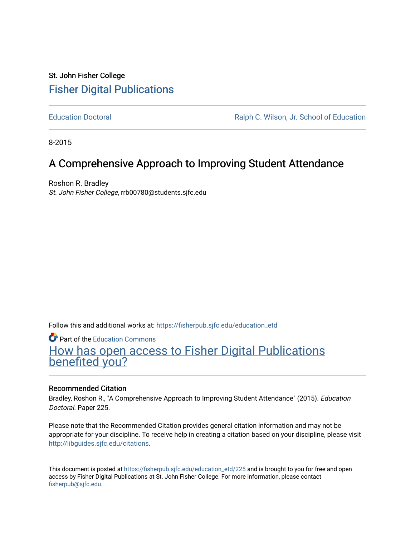## St. John Fisher College [Fisher Digital Publications](https://fisherpub.sjfc.edu/)

[Education Doctoral](https://fisherpub.sjfc.edu/education_etd) [Ralph C. Wilson, Jr. School of Education](https://fisherpub.sjfc.edu/education_student) 

8-2015

# A Comprehensive Approach to Improving Student Attendance

Roshon R. Bradley St. John Fisher College, rrb00780@students.sjfc.edu

Follow this and additional works at: [https://fisherpub.sjfc.edu/education\\_etd](https://fisherpub.sjfc.edu/education_etd?utm_source=fisherpub.sjfc.edu%2Feducation_etd%2F225&utm_medium=PDF&utm_campaign=PDFCoverPages) 

**C** Part of the [Education Commons](http://network.bepress.com/hgg/discipline/784?utm_source=fisherpub.sjfc.edu%2Feducation_etd%2F225&utm_medium=PDF&utm_campaign=PDFCoverPages)

[How has open access to Fisher Digital Publications](https://docs.google.com/forms/d/14zrnDfH9d1wcdq8oG_-gFabAsxfcH5claltx85ZWyTg/viewform?entry.1394608989=https://fisherpub.sjfc.edu/education_etd/225%3Chttps://docs.google.com/forms/d/14zrnDfH9d1wcdq8oG_-gFabAsxfcH5claltx85ZWyTg/viewform?entry.1394608989=%7bhttps://fisherpub.sjfc.edu/education_etd/225%7d) [benefited you?](https://docs.google.com/forms/d/14zrnDfH9d1wcdq8oG_-gFabAsxfcH5claltx85ZWyTg/viewform?entry.1394608989=https://fisherpub.sjfc.edu/education_etd/225%3Chttps://docs.google.com/forms/d/14zrnDfH9d1wcdq8oG_-gFabAsxfcH5claltx85ZWyTg/viewform?entry.1394608989=%7bhttps://fisherpub.sjfc.edu/education_etd/225%7d)

## Recommended Citation

Bradley, Roshon R., "A Comprehensive Approach to Improving Student Attendance" (2015). Education Doctoral. Paper 225.

Please note that the Recommended Citation provides general citation information and may not be appropriate for your discipline. To receive help in creating a citation based on your discipline, please visit [http://libguides.sjfc.edu/citations.](http://libguides.sjfc.edu/citations)

This document is posted at [https://fisherpub.sjfc.edu/education\\_etd/225](https://fisherpub.sjfc.edu/education_etd/225) and is brought to you for free and open access by Fisher Digital Publications at St. John Fisher College. For more information, please contact [fisherpub@sjfc.edu](mailto:fisherpub@sjfc.edu).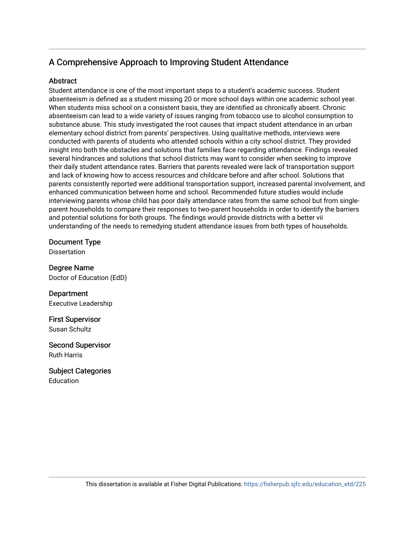## A Comprehensive Approach to Improving Student Attendance

## **Abstract**

Student attendance is one of the most important steps to a student's academic success. Student absenteeism is defined as a student missing 20 or more school days within one academic school year. When students miss school on a consistent basis, they are identified as chronically absent. Chronic absenteeism can lead to a wide variety of issues ranging from tobacco use to alcohol consumption to substance abuse. This study investigated the root causes that impact student attendance in an urban elementary school district from parents' perspectives. Using qualitative methods, interviews were conducted with parents of students who attended schools within a city school district. They provided insight into both the obstacles and solutions that families face regarding attendance. Findings revealed several hindrances and solutions that school districts may want to consider when seeking to improve their daily student attendance rates. Barriers that parents revealed were lack of transportation support and lack of knowing how to access resources and childcare before and after school. Solutions that parents consistently reported were additional transportation support, increased parental involvement, and enhanced communication between home and school. Recommended future studies would include interviewing parents whose child has poor daily attendance rates from the same school but from singleparent households to compare their responses to two-parent households in order to identify the barriers and potential solutions for both groups. The findings would provide districts with a better vii understanding of the needs to remedying student attendance issues from both types of households.

Document Type

**Dissertation** 

Degree Name Doctor of Education (EdD)

Department Executive Leadership

First Supervisor Susan Schultz

Second Supervisor Ruth Harris

Subject Categories Education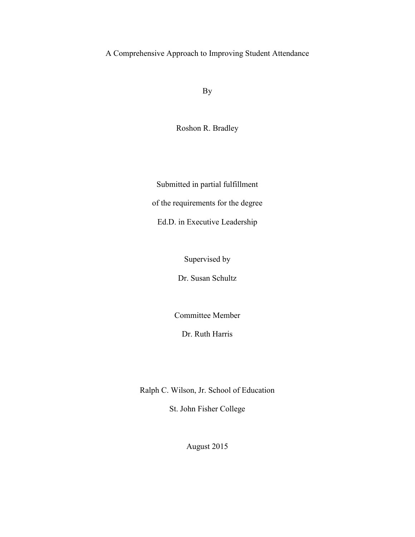A Comprehensive Approach to Improving Student Attendance

By

Roshon R. Bradley

Submitted in partial fulfillment of the requirements for the degree

Ed.D. in Executive Leadership

Supervised by

Dr. Susan Schultz

Committee Member

Dr. Ruth Harris

Ralph C. Wilson, Jr. School of Education

St. John Fisher College

August 2015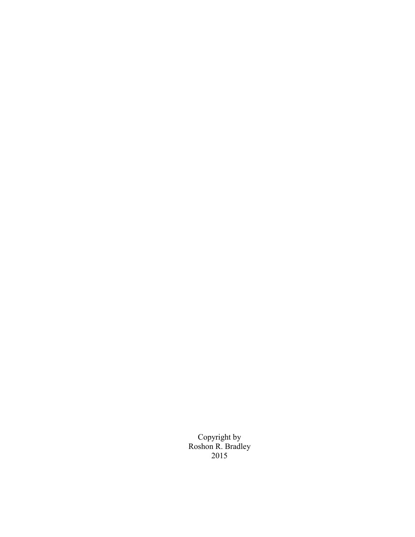Copyright by Roshon R. Bradley 2015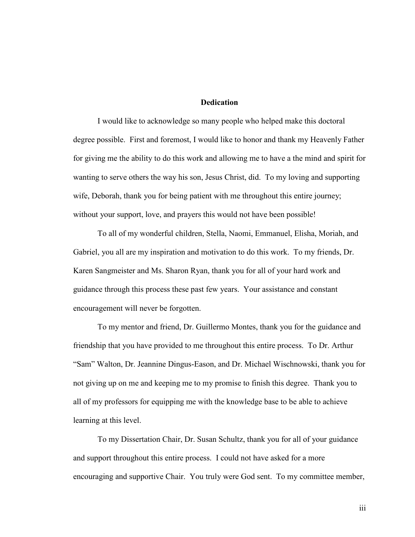### **Dedication**

<span id="page-4-0"></span>I would like to acknowledge so many people who helped make this doctoral degree possible. First and foremost, I would like to honor and thank my Heavenly Father for giving me the ability to do this work and allowing me to have a the mind and spirit for wanting to serve others the way his son, Jesus Christ, did. To my loving and supporting wife, Deborah, thank you for being patient with me throughout this entire journey; without your support, love, and prayers this would not have been possible!

To all of my wonderful children, Stella, Naomi, Emmanuel, Elisha, Moriah, and Gabriel, you all are my inspiration and motivation to do this work. To my friends, Dr. Karen Sangmeister and Ms. Sharon Ryan, thank you for all of your hard work and guidance through this process these past few years. Your assistance and constant encouragement will never be forgotten.

To my mentor and friend, Dr. Guillermo Montes, thank you for the guidance and friendship that you have provided to me throughout this entire process. To Dr. Arthur "Sam" Walton, Dr. Jeannine Dingus-Eason, and Dr. Michael Wischnowski, thank you for not giving up on me and keeping me to my promise to finish this degree. Thank you to all of my professors for equipping me with the knowledge base to be able to achieve learning at this level.

To my Dissertation Chair, Dr. Susan Schultz, thank you for all of your guidance and support throughout this entire process. I could not have asked for a more encouraging and supportive Chair. You truly were God sent. To my committee member,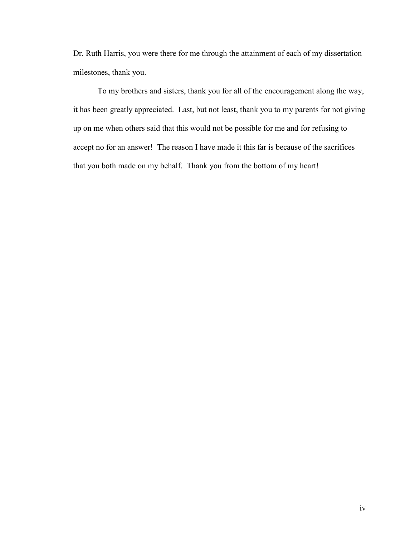Dr. Ruth Harris, you were there for me through the attainment of each of my dissertation milestones, thank you.

To my brothers and sisters, thank you for all of the encouragement along the way, it has been greatly appreciated. Last, but not least, thank you to my parents for not giving up on me when others said that this would not be possible for me and for refusing to accept no for an answer! The reason I have made it this far is because of the sacrifices that you both made on my behalf. Thank you from the bottom of my heart!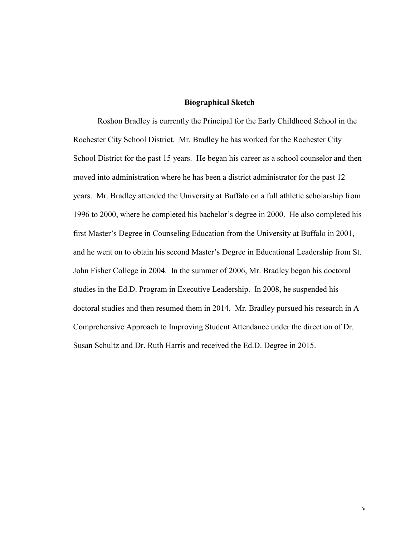### **Biographical Sketch**

<span id="page-6-0"></span>Roshon Bradley is currently the Principal for the Early Childhood School in the Rochester City School District. Mr. Bradley he has worked for the Rochester City School District for the past 15 years. He began his career as a school counselor and then moved into administration where he has been a district administrator for the past 12 years. Mr. Bradley attended the University at Buffalo on a full athletic scholarship from 1996 to 2000, where he completed his bachelor's degree in 2000. He also completed his first Master's Degree in Counseling Education from the University at Buffalo in 2001, and he went on to obtain his second Master's Degree in Educational Leadership from St. John Fisher College in 2004. In the summer of 2006, Mr. Bradley began his doctoral studies in the Ed.D. Program in Executive Leadership. In 2008, he suspended his doctoral studies and then resumed them in 2014. Mr. Bradley pursued his research in A Comprehensive Approach to Improving Student Attendance under the direction of Dr. Susan Schultz and Dr. Ruth Harris and received the Ed.D. Degree in 2015.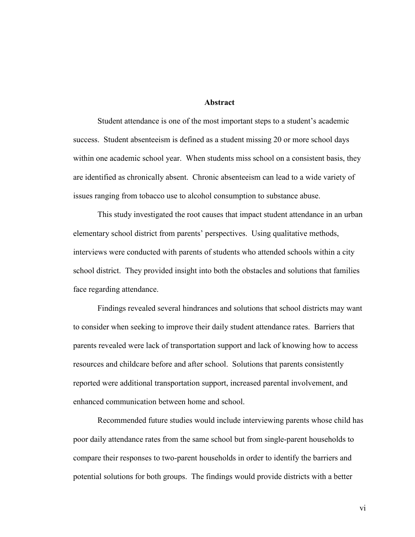### **Abstract**

<span id="page-7-0"></span>Student attendance is one of the most important steps to a student's academic success. Student absenteeism is defined as a student missing 20 or more school days within one academic school year. When students miss school on a consistent basis, they are identified as chronically absent. Chronic absenteeism can lead to a wide variety of issues ranging from tobacco use to alcohol consumption to substance abuse.

This study investigated the root causes that impact student attendance in an urban elementary school district from parents' perspectives. Using qualitative methods, interviews were conducted with parents of students who attended schools within a city school district. They provided insight into both the obstacles and solutions that families face regarding attendance.

Findings revealed several hindrances and solutions that school districts may want to consider when seeking to improve their daily student attendance rates. Barriers that parents revealed were lack of transportation support and lack of knowing how to access resources and childcare before and after school. Solutions that parents consistently reported were additional transportation support, increased parental involvement, and enhanced communication between home and school.

Recommended future studies would include interviewing parents whose child has poor daily attendance rates from the same school but from single-parent households to compare their responses to two-parent households in order to identify the barriers and potential solutions for both groups. The findings would provide districts with a better

vi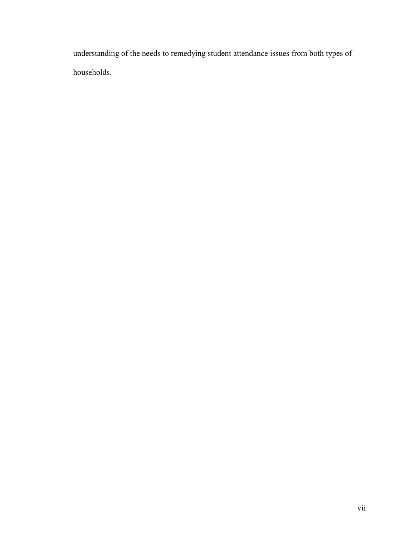understanding of the needs to remedying student attendance issues from both types of households.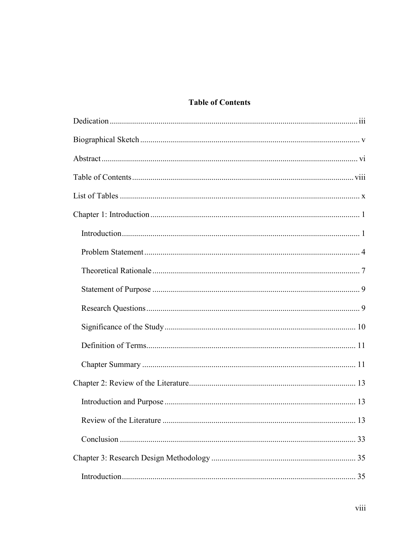## **Table of Contents**

<span id="page-9-0"></span>

| 13 |
|----|
|    |
|    |
|    |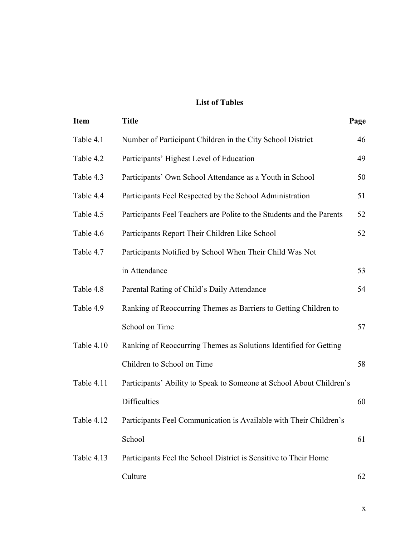## **List of Tables**

<span id="page-11-0"></span>

| <b>Item</b> | <b>Title</b>                                                          | Page |
|-------------|-----------------------------------------------------------------------|------|
| Table 4.1   | Number of Participant Children in the City School District            | 46   |
| Table 4.2   | Participants' Highest Level of Education                              | 49   |
| Table 4.3   | Participants' Own School Attendance as a Youth in School              | 50   |
| Table 4.4   | Participants Feel Respected by the School Administration              | 51   |
| Table 4.5   | Participants Feel Teachers are Polite to the Students and the Parents | 52   |
| Table 4.6   | Participants Report Their Children Like School                        | 52   |
| Table 4.7   | Participants Notified by School When Their Child Was Not              |      |
|             | in Attendance                                                         | 53   |
| Table 4.8   | Parental Rating of Child's Daily Attendance                           | 54   |
| Table 4.9   | Ranking of Reoccurring Themes as Barriers to Getting Children to      |      |
|             | School on Time                                                        | 57   |
| Table 4.10  | Ranking of Reoccurring Themes as Solutions Identified for Getting     |      |
|             | Children to School on Time                                            | 58   |
| Table 4.11  | Participants' Ability to Speak to Someone at School About Children's  |      |
|             | Difficulties                                                          | 60   |
| Table 4.12  | Participants Feel Communication is Available with Their Children's    |      |
|             | School                                                                | 61   |
| Table 4.13  | Participants Feel the School District is Sensitive to Their Home      |      |
|             | Culture                                                               | 62   |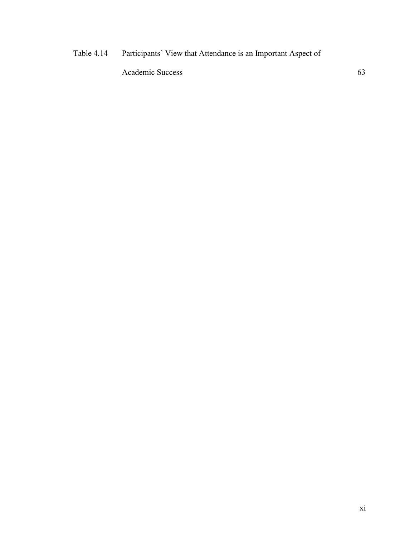## [Table 4.14](#page-75-0) [Participants' View that Attendance is an Important Aspect of](#page-75-0)

[Academic Success](#page-75-1) 63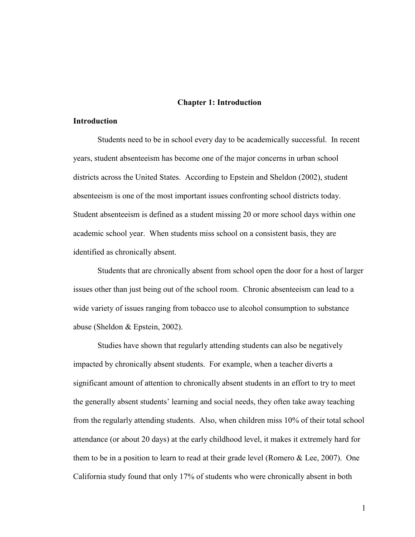### **Chapter 1: Introduction**

## <span id="page-13-1"></span><span id="page-13-0"></span>**Introduction**

Students need to be in school every day to be academically successful. In recent years, student absenteeism has become one of the major concerns in urban school districts across the United States. According to Epstein and Sheldon (2002), student absenteeism is one of the most important issues confronting school districts today. Student absenteeism is defined as a student missing 20 or more school days within one academic school year. When students miss school on a consistent basis, they are identified as chronically absent.

Students that are chronically absent from school open the door for a host of larger issues other than just being out of the school room. Chronic absenteeism can lead to a wide variety of issues ranging from tobacco use to alcohol consumption to substance abuse (Sheldon & Epstein, 2002).

Studies have shown that regularly attending students can also be negatively impacted by chronically absent students. For example, when a teacher diverts a significant amount of attention to chronically absent students in an effort to try to meet the generally absent students' learning and social needs, they often take away teaching from the regularly attending students. Also, when children miss 10% of their total school attendance (or about 20 days) at the early childhood level, it makes it extremely hard for them to be in a position to learn to read at their grade level (Romero  $& Lee, 2007$ ). One California study found that only 17% of students who were chronically absent in both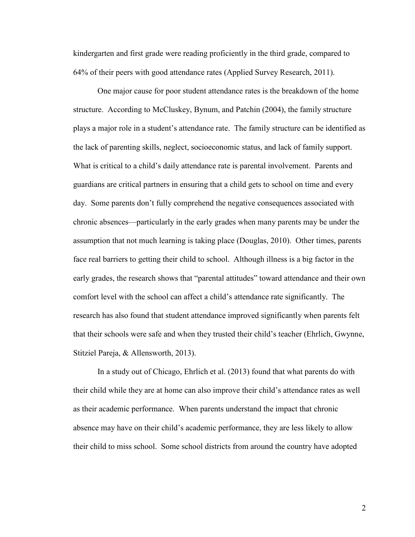kindergarten and first grade were reading proficiently in the third grade, compared to 64% of their peers with good attendance rates (Applied Survey Research, 2011).

One major cause for poor student attendance rates is the breakdown of the home structure. According to McCluskey, Bynum, and Patchin (2004), the family structure plays a major role in a student's attendance rate. The family structure can be identified as the lack of parenting skills, neglect, socioeconomic status, and lack of family support. What is critical to a child's daily attendance rate is parental involvement. Parents and guardians are critical partners in ensuring that a child gets to school on time and every day. Some parents don't fully comprehend the negative consequences associated with chronic absences—particularly in the early grades when many parents may be under the assumption that not much learning is taking place (Douglas, 2010). Other times, parents face real barriers to getting their child to school. Although illness is a big factor in the early grades, the research shows that "parental attitudes" toward attendance and their own comfort level with the school can affect a child's attendance rate significantly. The research has also found that student attendance improved significantly when parents felt that their schools were safe and when they trusted their child's teacher (Ehrlich, Gwynne, Stitziel Pareja, & Allensworth, 2013).

In a study out of Chicago, Ehrlich et al. (2013) found that what parents do with their child while they are at home can also improve their child's attendance rates as well as their academic performance. When parents understand the impact that chronic absence may have on their child's academic performance, they are less likely to allow their child to miss school. Some school districts from around the country have adopted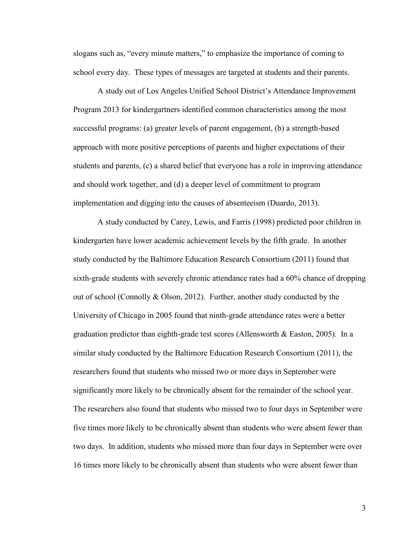slogans such as, "every minute matters," to emphasize the importance of coming to school every day. These types of messages are targeted at students and their parents.

A study out of Los Angeles Unified School District's Attendance Improvement Program 2013 for kindergartners identified common characteristics among the most successful programs: (a) greater levels of parent engagement, (b) a strength-based approach with more positive perceptions of parents and higher expectations of their students and parents, (c) a shared belief that everyone has a role in improving attendance and should work together, and (d) a deeper level of commitment to program implementation and digging into the causes of absenteeism (Duardo, 2013).

A study conducted by Carey, Lewis, and Farris (1998) predicted poor children in kindergarten have lower academic achievement levels by the fifth grade. In another study conducted by the Baltimore Education Research Consortium (2011) found that sixth-grade students with severely chronic attendance rates had a 60% chance of dropping out of school (Connolly  $&$  Olson, 2012). Further, another study conducted by the University of Chicago in 2005 found that ninth-grade attendance rates were a better graduation predictor than eighth-grade test scores (Allensworth & Easton, 2005). In a similar study conducted by the Baltimore Education Research Consortium (2011), the researchers found that students who missed two or more days in September were significantly more likely to be chronically absent for the remainder of the school year. The researchers also found that students who missed two to four days in September were five times more likely to be chronically absent than students who were absent fewer than two days. In addition, students who missed more than four days in September were over 16 times more likely to be chronically absent than students who were absent fewer than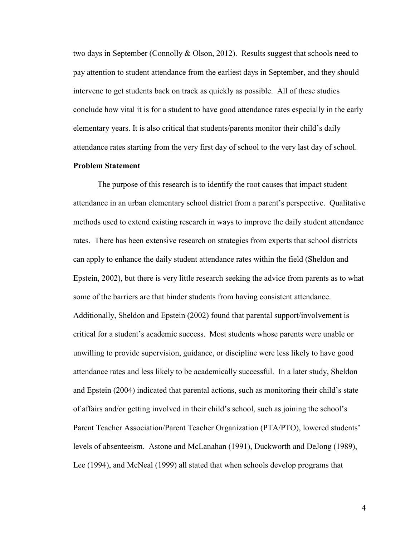two days in September (Connolly & Olson, 2012). Results suggest that schools need to pay attention to student attendance from the earliest days in September, and they should intervene to get students back on track as quickly as possible. All of these studies conclude how vital it is for a student to have good attendance rates especially in the early elementary years. It is also critical that students/parents monitor their child's daily attendance rates starting from the very first day of school to the very last day of school.

## <span id="page-16-0"></span>**Problem Statement**

The purpose of this research is to identify the root causes that impact student attendance in an urban elementary school district from a parent's perspective. Qualitative methods used to extend existing research in ways to improve the daily student attendance rates. There has been extensive research on strategies from experts that school districts can apply to enhance the daily student attendance rates within the field (Sheldon and Epstein, 2002), but there is very little research seeking the advice from parents as to what some of the barriers are that hinder students from having consistent attendance. Additionally, Sheldon and Epstein (2002) found that parental support/involvement is critical for a student's academic success. Most students whose parents were unable or unwilling to provide supervision, guidance, or discipline were less likely to have good attendance rates and less likely to be academically successful. In a later study, Sheldon and Epstein (2004) indicated that parental actions, such as monitoring their child's state of affairs and/or getting involved in their child's school, such as joining the school's Parent Teacher Association/Parent Teacher Organization (PTA/PTO), lowered students' levels of absenteeism. Astone and McLanahan (1991), Duckworth and DeJong (1989), Lee (1994), and McNeal (1999) all stated that when schools develop programs that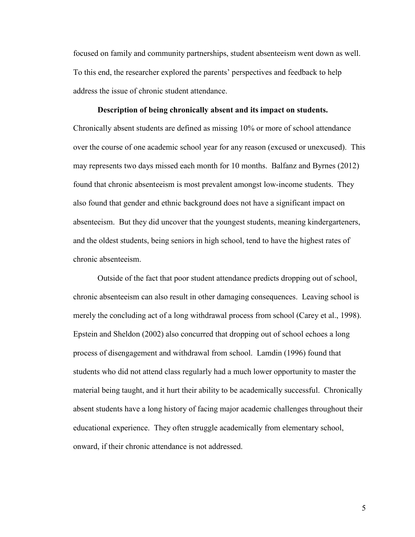focused on family and community partnerships, student absenteeism went down as well. To this end, the researcher explored the parents' perspectives and feedback to help address the issue of chronic student attendance.

## **Description of being chronically absent and its impact on students.**

Chronically absent students are defined as missing 10% or more of school attendance over the course of one academic school year for any reason (excused or unexcused). This may represents two days missed each month for 10 months. Balfanz and Byrnes (2012) found that chronic absenteeism is most prevalent amongst low-income students. They also found that gender and ethnic background does not have a significant impact on absenteeism. But they did uncover that the youngest students, meaning kindergarteners, and the oldest students, being seniors in high school, tend to have the highest rates of chronic absenteeism.

Outside of the fact that poor student attendance predicts dropping out of school, chronic absenteeism can also result in other damaging consequences. Leaving school is merely the concluding act of a long withdrawal process from school (Carey et al., 1998). Epstein and Sheldon (2002) also concurred that dropping out of school echoes a long process of disengagement and withdrawal from school. Lamdin (1996) found that students who did not attend class regularly had a much lower opportunity to master the material being taught, and it hurt their ability to be academically successful. Chronically absent students have a long history of facing major academic challenges throughout their educational experience. They often struggle academically from elementary school, onward, if their chronic attendance is not addressed.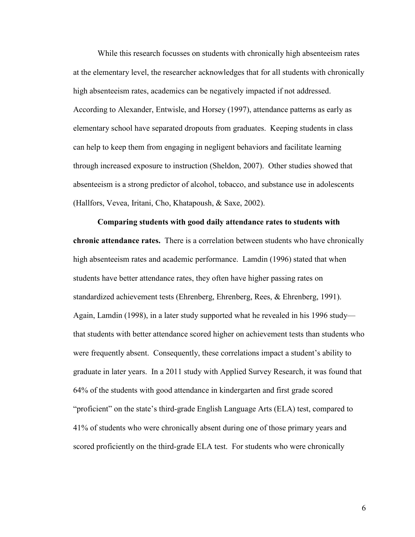While this research focusses on students with chronically high absenteeism rates at the elementary level, the researcher acknowledges that for all students with chronically high absenteeism rates, academics can be negatively impacted if not addressed. According to Alexander, Entwisle, and Horsey (1997), attendance patterns as early as elementary school have separated dropouts from graduates. Keeping students in class can help to keep them from engaging in negligent behaviors and facilitate learning through increased exposure to instruction (Sheldon, 2007). Other studies showed that absenteeism is a strong predictor of alcohol, tobacco, and substance use in adolescents (Hallfors, Vevea, Iritani, Cho, Khatapoush, & Saxe, 2002).

**Comparing students with good daily attendance rates to students with chronic attendance rates.** There is a correlation between students who have chronically high absenteeism rates and academic performance. Lamdin (1996) stated that when students have better attendance rates, they often have higher passing rates on standardized achievement tests (Ehrenberg, Ehrenberg, Rees, & Ehrenberg, 1991). Again, Lamdin (1998), in a later study supported what he revealed in his 1996 study that students with better attendance scored higher on achievement tests than students who were frequently absent. Consequently, these correlations impact a student's ability to graduate in later years. In a 2011 study with Applied Survey Research, it was found that 64% of the students with good attendance in kindergarten and first grade scored "proficient" on the state's third-grade English Language Arts (ELA) test, compared to 41% of students who were chronically absent during one of those primary years and scored proficiently on the third-grade ELA test. For students who were chronically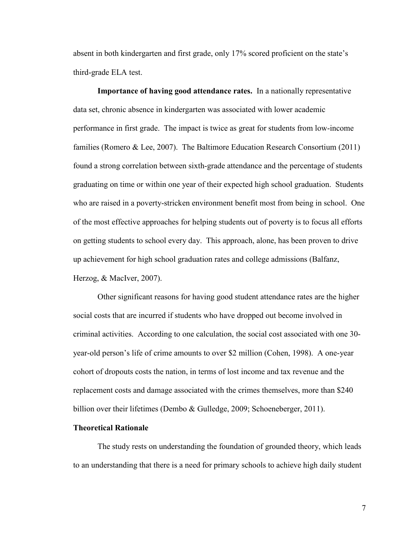absent in both kindergarten and first grade, only 17% scored proficient on the state's third-grade ELA test.

**Importance of having good attendance rates.** In a nationally representative data set, chronic absence in kindergarten was associated with lower academic performance in first grade. The impact is twice as great for students from low-income families (Romero & Lee, 2007). The Baltimore Education Research Consortium (2011) found a strong correlation between sixth-grade attendance and the percentage of students graduating on time or within one year of their expected high school graduation. Students who are raised in a poverty-stricken environment benefit most from being in school. One of the most effective approaches for helping students out of poverty is to focus all efforts on getting students to school every day. This approach, alone, has been proven to drive up achievement for high school graduation rates and college admissions (Balfanz, Herzog, & MacIver, 2007).

Other significant reasons for having good student attendance rates are the higher social costs that are incurred if students who have dropped out become involved in criminal activities. According to one calculation, the social cost associated with one 30 year-old person's life of crime amounts to over \$2 million (Cohen, 1998). A one-year cohort of dropouts costs the nation, in terms of lost income and tax revenue and the replacement costs and damage associated with the crimes themselves, more than \$240 billion over their lifetimes (Dembo & Gulledge, 2009; Schoeneberger, 2011).

### <span id="page-19-0"></span>**Theoretical Rationale**

The study rests on understanding the foundation of grounded theory, which leads to an understanding that there is a need for primary schools to achieve high daily student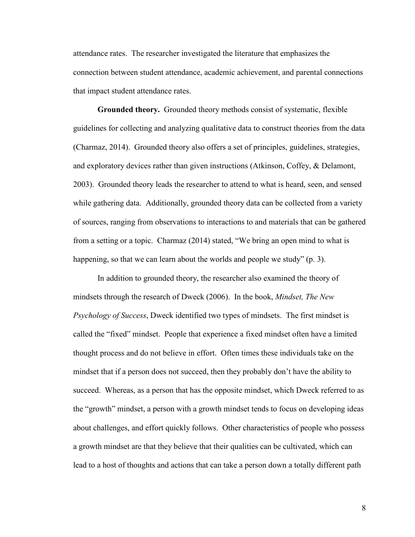attendance rates. The researcher investigated the literature that emphasizes the connection between student attendance, academic achievement, and parental connections that impact student attendance rates.

**Grounded theory.** Grounded theory methods consist of systematic, flexible guidelines for collecting and analyzing qualitative data to construct theories from the data (Charmaz, 2014). Grounded theory also offers a set of principles, guidelines, strategies, and exploratory devices rather than given instructions (Atkinson, Coffey, & Delamont, 2003). Grounded theory leads the researcher to attend to what is heard, seen, and sensed while gathering data. Additionally, grounded theory data can be collected from a variety of sources, ranging from observations to interactions to and materials that can be gathered from a setting or a topic. Charmaz (2014) stated, "We bring an open mind to what is happening, so that we can learn about the worlds and people we study" (p. 3).

In addition to grounded theory, the researcher also examined the theory of mindsets through the research of Dweck (2006). In the book, *Mindset, The New Psychology of Success*, Dweck identified two types of mindsets. The first mindset is called the "fixed" mindset. People that experience a fixed mindset often have a limited thought process and do not believe in effort. Often times these individuals take on the mindset that if a person does not succeed, then they probably don't have the ability to succeed. Whereas, as a person that has the opposite mindset, which Dweck referred to as the "growth" mindset, a person with a growth mindset tends to focus on developing ideas about challenges, and effort quickly follows. Other characteristics of people who possess a growth mindset are that they believe that their qualities can be cultivated, which can lead to a host of thoughts and actions that can take a person down a totally different path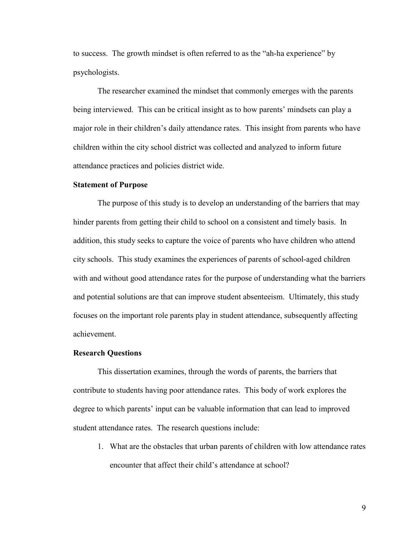to success. The growth mindset is often referred to as the "ah-ha experience" by psychologists.

The researcher examined the mindset that commonly emerges with the parents being interviewed. This can be critical insight as to how parents' mindsets can play a major role in their children's daily attendance rates. This insight from parents who have children within the city school district was collected and analyzed to inform future attendance practices and policies district wide.

#### <span id="page-21-0"></span>**Statement of Purpose**

The purpose of this study is to develop an understanding of the barriers that may hinder parents from getting their child to school on a consistent and timely basis. In addition, this study seeks to capture the voice of parents who have children who attend city schools. This study examines the experiences of parents of school-aged children with and without good attendance rates for the purpose of understanding what the barriers and potential solutions are that can improve student absenteeism. Ultimately, this study focuses on the important role parents play in student attendance, subsequently affecting achievement.

### <span id="page-21-1"></span>**Research Questions**

This dissertation examines, through the words of parents, the barriers that contribute to students having poor attendance rates. This body of work explores the degree to which parents' input can be valuable information that can lead to improved student attendance rates. The research questions include:

1. What are the obstacles that urban parents of children with low attendance rates encounter that affect their child's attendance at school?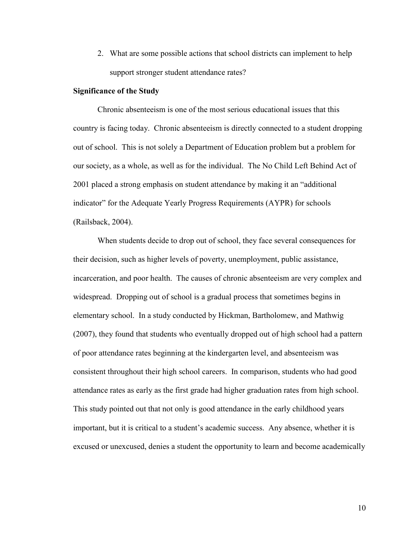2. What are some possible actions that school districts can implement to help support stronger student attendance rates?

### <span id="page-22-0"></span>**Significance of the Study**

Chronic absenteeism is one of the most serious educational issues that this country is facing today. Chronic absenteeism is directly connected to a student dropping out of school. This is not solely a Department of Education problem but a problem for our society, as a whole, as well as for the individual. The No Child Left Behind Act of 2001 placed a strong emphasis on student attendance by making it an "additional indicator" for the Adequate Yearly Progress Requirements (AYPR) for schools (Railsback, 2004).

When students decide to drop out of school, they face several consequences for their decision, such as higher levels of poverty, unemployment, public assistance, incarceration, and poor health. The causes of chronic absenteeism are very complex and widespread. Dropping out of school is a gradual process that sometimes begins in elementary school. In a study conducted by Hickman, Bartholomew, and Mathwig (2007), they found that students who eventually dropped out of high school had a pattern of poor attendance rates beginning at the kindergarten level, and absenteeism was consistent throughout their high school careers. In comparison, students who had good attendance rates as early as the first grade had higher graduation rates from high school. This study pointed out that not only is good attendance in the early childhood years important, but it is critical to a student's academic success. Any absence, whether it is excused or unexcused, denies a student the opportunity to learn and become academically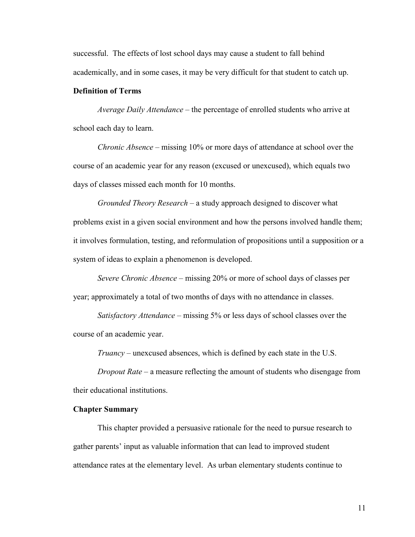successful. The effects of lost school days may cause a student to fall behind academically, and in some cases, it may be very difficult for that student to catch up.

## <span id="page-23-0"></span>**Definition of Terms**

*Average Daily Attendance –* the percentage of enrolled students who arrive at school each day to learn.

*Chronic Absence –* missing 10% or more days of attendance at school over the course of an academic year for any reason (excused or unexcused), which equals two days of classes missed each month for 10 months.

*Grounded Theory Research –* a study approach designed to discover what problems exist in a given social environment and how the persons involved handle them; it involves formulation, testing, and reformulation of propositions until a supposition or a system of ideas to explain a phenomenon is developed.

*Severe Chronic Absence –* missing 20% or more of school days of classes per year; approximately a total of two months of days with no attendance in classes.

*Satisfactory Attendance –* missing 5% or less days of school classes over the course of an academic year.

*Truancy* – unexcused absences, which is defined by each state in the U.S.

*Dropout Rate* – a measure reflecting the amount of students who disengage from their educational institutions.

#### <span id="page-23-1"></span>**Chapter Summary**

This chapter provided a persuasive rationale for the need to pursue research to gather parents' input as valuable information that can lead to improved student attendance rates at the elementary level. As urban elementary students continue to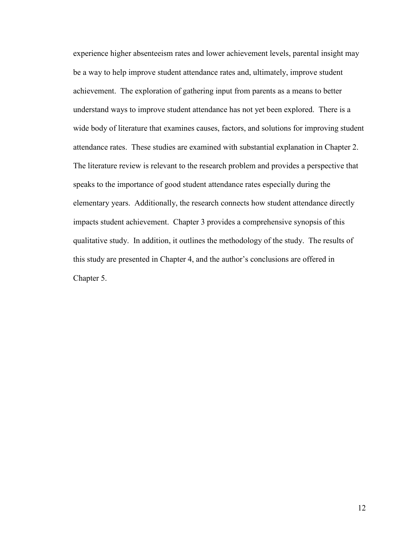experience higher absenteeism rates and lower achievement levels, parental insight may be a way to help improve student attendance rates and, ultimately, improve student achievement. The exploration of gathering input from parents as a means to better understand ways to improve student attendance has not yet been explored. There is a wide body of literature that examines causes, factors, and solutions for improving student attendance rates. These studies are examined with substantial explanation in Chapter 2. The literature review is relevant to the research problem and provides a perspective that speaks to the importance of good student attendance rates especially during the elementary years. Additionally, the research connects how student attendance directly impacts student achievement. Chapter 3 provides a comprehensive synopsis of this qualitative study. In addition, it outlines the methodology of the study. The results of this study are presented in Chapter 4, and the author's conclusions are offered in Chapter 5.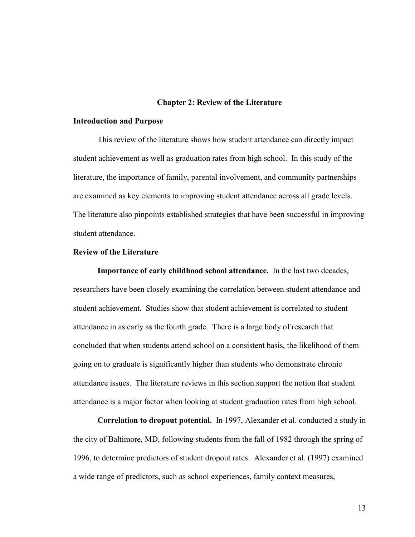#### **Chapter 2: Review of the Literature**

#### <span id="page-25-1"></span><span id="page-25-0"></span>**Introduction and Purpose**

This review of the literature shows how student attendance can directly impact student achievement as well as graduation rates from high school. In this study of the literature, the importance of family, parental involvement, and community partnerships are examined as key elements to improving student attendance across all grade levels. The literature also pinpoints established strategies that have been successful in improving student attendance.

### <span id="page-25-2"></span>**Review of the Literature**

**Importance of early childhood school attendance.** In the last two decades, researchers have been closely examining the correlation between student attendance and student achievement. Studies show that student achievement is correlated to student attendance in as early as the fourth grade. There is a large body of research that concluded that when students attend school on a consistent basis, the likelihood of them going on to graduate is significantly higher than students who demonstrate chronic attendance issues. The literature reviews in this section support the notion that student attendance is a major factor when looking at student graduation rates from high school.

**Correlation to dropout potential.** In 1997, Alexander et al. conducted a study in the city of Baltimore, MD, following students from the fall of 1982 through the spring of 1996, to determine predictors of student dropout rates. Alexander et al. (1997) examined a wide range of predictors, such as school experiences, family context measures,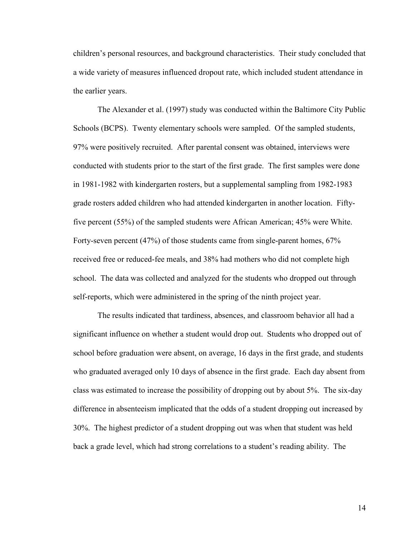children's personal resources, and background characteristics. Their study concluded that a wide variety of measures influenced dropout rate, which included student attendance in the earlier years.

The Alexander et al. (1997) study was conducted within the Baltimore City Public Schools (BCPS). Twenty elementary schools were sampled. Of the sampled students, 97% were positively recruited. After parental consent was obtained, interviews were conducted with students prior to the start of the first grade. The first samples were done in 1981-1982 with kindergarten rosters, but a supplemental sampling from 1982-1983 grade rosters added children who had attended kindergarten in another location. Fiftyfive percent (55%) of the sampled students were African American; 45% were White. Forty-seven percent (47%) of those students came from single-parent homes, 67% received free or reduced-fee meals, and 38% had mothers who did not complete high school. The data was collected and analyzed for the students who dropped out through self-reports, which were administered in the spring of the ninth project year.

The results indicated that tardiness, absences, and classroom behavior all had a significant influence on whether a student would drop out. Students who dropped out of school before graduation were absent, on average, 16 days in the first grade, and students who graduated averaged only 10 days of absence in the first grade. Each day absent from class was estimated to increase the possibility of dropping out by about 5%. The six-day difference in absenteeism implicated that the odds of a student dropping out increased by 30%. The highest predictor of a student dropping out was when that student was held back a grade level, which had strong correlations to a student's reading ability. The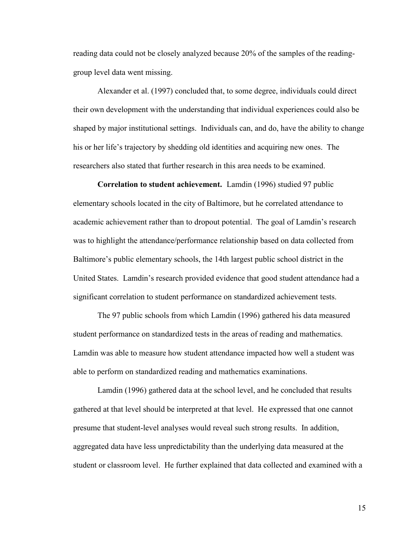reading data could not be closely analyzed because 20% of the samples of the readinggroup level data went missing.

Alexander et al. (1997) concluded that, to some degree, individuals could direct their own development with the understanding that individual experiences could also be shaped by major institutional settings. Individuals can, and do, have the ability to change his or her life's trajectory by shedding old identities and acquiring new ones. The researchers also stated that further research in this area needs to be examined.

**Correlation to student achievement.** Lamdin (1996) studied 97 public elementary schools located in the city of Baltimore, but he correlated attendance to academic achievement rather than to dropout potential. The goal of Lamdin's research was to highlight the attendance/performance relationship based on data collected from Baltimore's public elementary schools, the 14th largest public school district in the United States. Lamdin's research provided evidence that good student attendance had a significant correlation to student performance on standardized achievement tests.

The 97 public schools from which Lamdin (1996) gathered his data measured student performance on standardized tests in the areas of reading and mathematics. Lamdin was able to measure how student attendance impacted how well a student was able to perform on standardized reading and mathematics examinations.

Lamdin (1996) gathered data at the school level, and he concluded that results gathered at that level should be interpreted at that level. He expressed that one cannot presume that student-level analyses would reveal such strong results. In addition, aggregated data have less unpredictability than the underlying data measured at the student or classroom level. He further explained that data collected and examined with a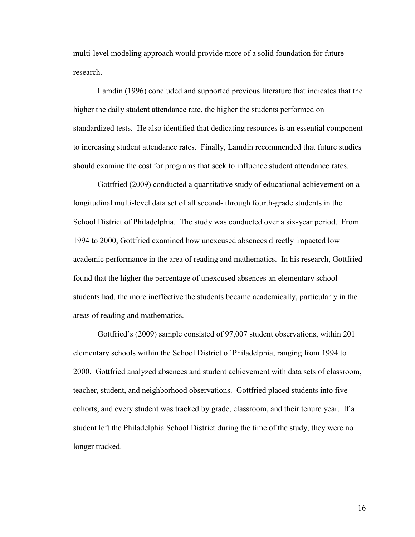multi-level modeling approach would provide more of a solid foundation for future research.

Lamdin (1996) concluded and supported previous literature that indicates that the higher the daily student attendance rate, the higher the students performed on standardized tests. He also identified that dedicating resources is an essential component to increasing student attendance rates. Finally, Lamdin recommended that future studies should examine the cost for programs that seek to influence student attendance rates.

Gottfried (2009) conducted a quantitative study of educational achievement on a longitudinal multi-level data set of all second- through fourth-grade students in the School District of Philadelphia. The study was conducted over a six-year period. From 1994 to 2000, Gottfried examined how unexcused absences directly impacted low academic performance in the area of reading and mathematics. In his research, Gottfried found that the higher the percentage of unexcused absences an elementary school students had, the more ineffective the students became academically, particularly in the areas of reading and mathematics.

Gottfried's (2009) sample consisted of 97,007 student observations, within 201 elementary schools within the School District of Philadelphia, ranging from 1994 to 2000. Gottfried analyzed absences and student achievement with data sets of classroom, teacher, student, and neighborhood observations. Gottfried placed students into five cohorts, and every student was tracked by grade, classroom, and their tenure year. If a student left the Philadelphia School District during the time of the study, they were no longer tracked.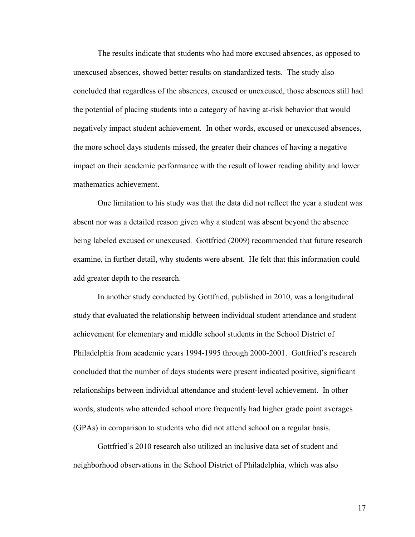The results indicate that students who had more excused absences, as opposed to unexcused absences, showed better results on standardized tests. The study also concluded that regardless of the absences, excused or unexcused, those absences still had the potential of placing students into a category of having at-risk behavior that would negatively impact student achievement. In other words, excused or unexcused absences, the more school days students missed, the greater their chances of having a negative impact on their academic performance with the result of lower reading ability and lower mathematics achievement.

One limitation to his study was that the data did not reflect the year a student was absent nor was a detailed reason given why a student was absent beyond the absence being labeled excused or unexcused. Gottfried (2009) recommended that future research examine, in further detail, why students were absent. He felt that this information could add greater depth to the research.

In another study conducted by Gottfried, published in 2010, was a longitudinal study that evaluated the relationship between individual student attendance and student achievement for elementary and middle school students in the School District of Philadelphia from academic years 1994-1995 through 2000-2001. Gottfried's research concluded that the number of days students were present indicated positive, significant relationships between individual attendance and student-level achievement. In other words, students who attended school more frequently had higher grade point averages (GPAs) in comparison to students who did not attend school on a regular basis.

Gottfried's 2010 research also utilized an inclusive data set of student and neighborhood observations in the School District of Philadelphia, which was also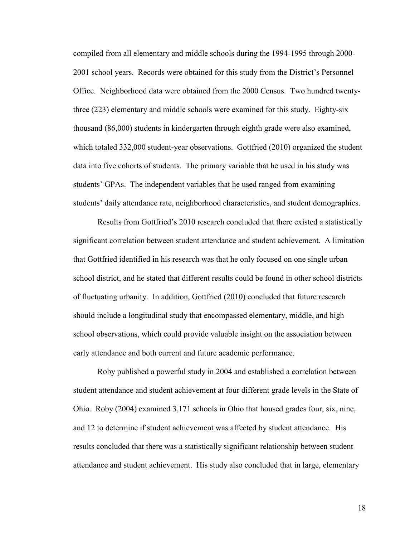compiled from all elementary and middle schools during the 1994-1995 through 2000- 2001 school years. Records were obtained for this study from the District's Personnel Office. Neighborhood data were obtained from the 2000 Census. Two hundred twentythree (223) elementary and middle schools were examined for this study. Eighty-six thousand (86,000) students in kindergarten through eighth grade were also examined, which totaled 332,000 student-year observations. Gottfried (2010) organized the student data into five cohorts of students. The primary variable that he used in his study was students' GPAs. The independent variables that he used ranged from examining students' daily attendance rate, neighborhood characteristics, and student demographics.

Results from Gottfried's 2010 research concluded that there existed a statistically significant correlation between student attendance and student achievement. A limitation that Gottfried identified in his research was that he only focused on one single urban school district, and he stated that different results could be found in other school districts of fluctuating urbanity. In addition, Gottfried (2010) concluded that future research should include a longitudinal study that encompassed elementary, middle, and high school observations, which could provide valuable insight on the association between early attendance and both current and future academic performance.

Roby published a powerful study in 2004 and established a correlation between student attendance and student achievement at four different grade levels in the State of Ohio. Roby (2004) examined 3,171 schools in Ohio that housed grades four, six, nine, and 12 to determine if student achievement was affected by student attendance. His results concluded that there was a statistically significant relationship between student attendance and student achievement. His study also concluded that in large, elementary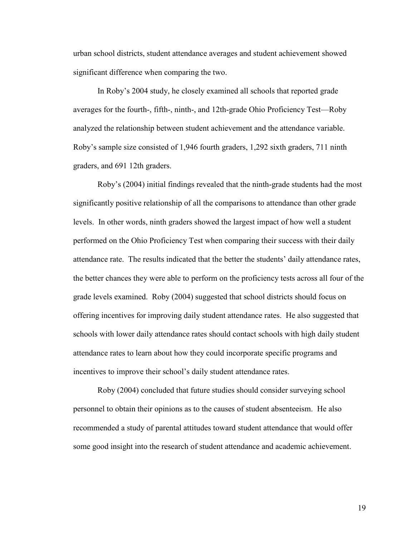urban school districts, student attendance averages and student achievement showed significant difference when comparing the two.

In Roby's 2004 study, he closely examined all schools that reported grade averages for the fourth-, fifth-, ninth-, and 12th-grade Ohio Proficiency Test—Roby analyzed the relationship between student achievement and the attendance variable. Roby's sample size consisted of 1,946 fourth graders, 1,292 sixth graders, 711 ninth graders, and 691 12th graders.

Roby's (2004) initial findings revealed that the ninth-grade students had the most significantly positive relationship of all the comparisons to attendance than other grade levels. In other words, ninth graders showed the largest impact of how well a student performed on the Ohio Proficiency Test when comparing their success with their daily attendance rate. The results indicated that the better the students' daily attendance rates, the better chances they were able to perform on the proficiency tests across all four of the grade levels examined. Roby (2004) suggested that school districts should focus on offering incentives for improving daily student attendance rates. He also suggested that schools with lower daily attendance rates should contact schools with high daily student attendance rates to learn about how they could incorporate specific programs and incentives to improve their school's daily student attendance rates.

Roby (2004) concluded that future studies should consider surveying school personnel to obtain their opinions as to the causes of student absenteeism. He also recommended a study of parental attitudes toward student attendance that would offer some good insight into the research of student attendance and academic achievement.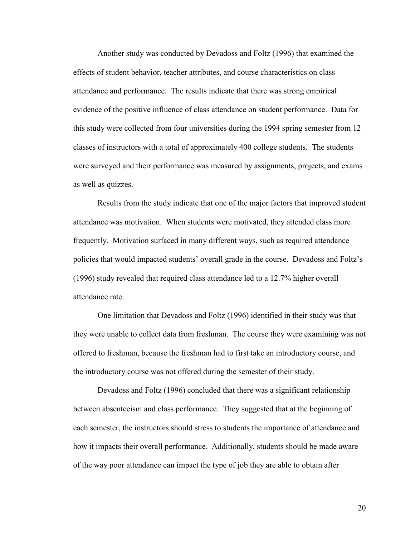Another study was conducted by Devadoss and Foltz (1996) that examined the effects of student behavior, teacher attributes, and course characteristics on class attendance and performance. The results indicate that there was strong empirical evidence of the positive influence of class attendance on student performance. Data for this study were collected from four universities during the 1994 spring semester from 12 classes of instructors with a total of approximately 400 college students. The students were surveyed and their performance was measured by assignments, projects, and exams as well as quizzes.

Results from the study indicate that one of the major factors that improved student attendance was motivation. When students were motivated, they attended class more frequently. Motivation surfaced in many different ways, such as required attendance policies that would impacted students' overall grade in the course. Devadoss and Foltz's (1996) study revealed that required class attendance led to a 12.7% higher overall attendance rate.

One limitation that Devadoss and Foltz (1996) identified in their study was that they were unable to collect data from freshman. The course they were examining was not offered to freshman, because the freshman had to first take an introductory course, and the introductory course was not offered during the semester of their study.

Devadoss and Foltz (1996) concluded that there was a significant relationship between absenteeism and class performance. They suggested that at the beginning of each semester, the instructors should stress to students the importance of attendance and how it impacts their overall performance. Additionally, students should be made aware of the way poor attendance can impact the type of job they are able to obtain after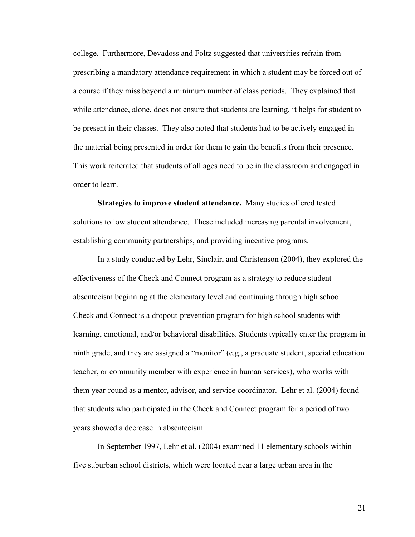college. Furthermore, Devadoss and Foltz suggested that universities refrain from prescribing a mandatory attendance requirement in which a student may be forced out of a course if they miss beyond a minimum number of class periods. They explained that while attendance, alone, does not ensure that students are learning, it helps for student to be present in their classes. They also noted that students had to be actively engaged in the material being presented in order for them to gain the benefits from their presence. This work reiterated that students of all ages need to be in the classroom and engaged in order to learn.

**Strategies to improve student attendance.** Many studies offered tested solutions to low student attendance. These included increasing parental involvement, establishing community partnerships, and providing incentive programs.

In a study conducted by Lehr, Sinclair, and Christenson (2004), they explored the effectiveness of the Check and Connect program as a strategy to reduce student absenteeism beginning at the elementary level and continuing through high school. Check and Connect is a dropout-prevention program for high school students with learning, emotional, and/or behavioral disabilities. Students typically enter the program in ninth grade, and they are assigned a "monitor" (e.g., a graduate student, special education teacher, or community member with experience in human services), who works with them year-round as a mentor, advisor, and service coordinator. Lehr et al. (2004) found that students who participated in the Check and Connect program for a period of two years showed a decrease in absenteeism.

In September 1997, Lehr et al. (2004) examined 11 elementary schools within five suburban school districts, which were located near a large urban area in the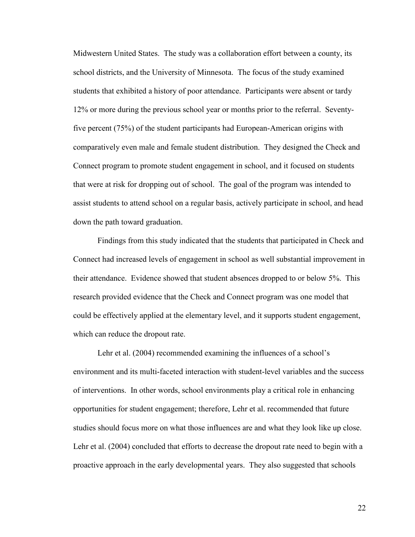Midwestern United States. The study was a collaboration effort between a county, its school districts, and the University of Minnesota. The focus of the study examined students that exhibited a history of poor attendance. Participants were absent or tardy 12% or more during the previous school year or months prior to the referral. Seventyfive percent (75%) of the student participants had European-American origins with comparatively even male and female student distribution. They designed the Check and Connect program to promote student engagement in school, and it focused on students that were at risk for dropping out of school. The goal of the program was intended to assist students to attend school on a regular basis, actively participate in school, and head down the path toward graduation.

Findings from this study indicated that the students that participated in Check and Connect had increased levels of engagement in school as well substantial improvement in their attendance. Evidence showed that student absences dropped to or below 5%. This research provided evidence that the Check and Connect program was one model that could be effectively applied at the elementary level, and it supports student engagement, which can reduce the dropout rate.

Lehr et al. (2004) recommended examining the influences of a school's environment and its multi-faceted interaction with student-level variables and the success of interventions. In other words, school environments play a critical role in enhancing opportunities for student engagement; therefore, Lehr et al. recommended that future studies should focus more on what those influences are and what they look like up close. Lehr et al. (2004) concluded that efforts to decrease the dropout rate need to begin with a proactive approach in the early developmental years. They also suggested that schools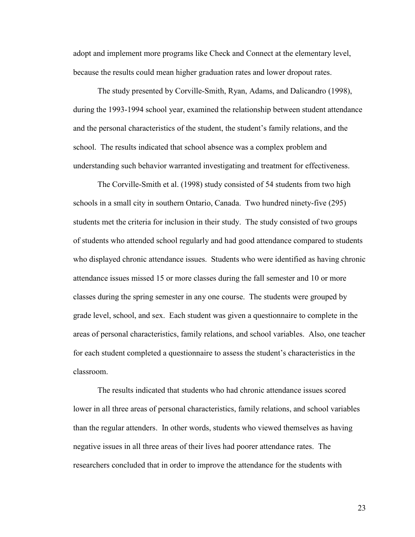adopt and implement more programs like Check and Connect at the elementary level, because the results could mean higher graduation rates and lower dropout rates.

The study presented by Corville-Smith, Ryan, Adams, and Dalicandro (1998), during the 1993-1994 school year, examined the relationship between student attendance and the personal characteristics of the student, the student's family relations, and the school. The results indicated that school absence was a complex problem and understanding such behavior warranted investigating and treatment for effectiveness.

The Corville-Smith et al. (1998) study consisted of 54 students from two high schools in a small city in southern Ontario, Canada. Two hundred ninety-five (295) students met the criteria for inclusion in their study. The study consisted of two groups of students who attended school regularly and had good attendance compared to students who displayed chronic attendance issues. Students who were identified as having chronic attendance issues missed 15 or more classes during the fall semester and 10 or more classes during the spring semester in any one course. The students were grouped by grade level, school, and sex. Each student was given a questionnaire to complete in the areas of personal characteristics, family relations, and school variables. Also, one teacher for each student completed a questionnaire to assess the student's characteristics in the classroom.

The results indicated that students who had chronic attendance issues scored lower in all three areas of personal characteristics, family relations, and school variables than the regular attenders. In other words, students who viewed themselves as having negative issues in all three areas of their lives had poorer attendance rates. The researchers concluded that in order to improve the attendance for the students with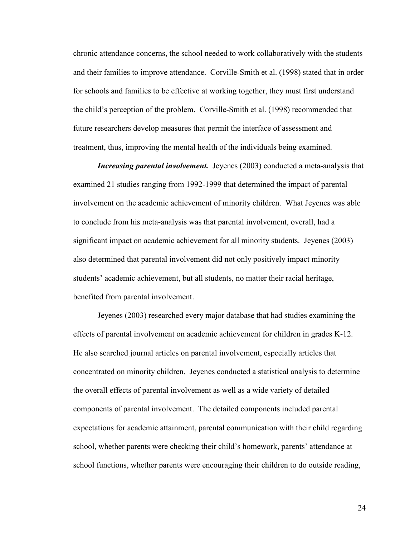chronic attendance concerns, the school needed to work collaboratively with the students and their families to improve attendance. Corville-Smith et al. (1998) stated that in order for schools and families to be effective at working together, they must first understand the child's perception of the problem. Corville-Smith et al. (1998) recommended that future researchers develop measures that permit the interface of assessment and treatment, thus, improving the mental health of the individuals being examined.

*Increasing parental involvement.* Jeyenes (2003) conducted a meta-analysis that examined 21 studies ranging from 1992-1999 that determined the impact of parental involvement on the academic achievement of minority children. What Jeyenes was able to conclude from his meta-analysis was that parental involvement, overall, had a significant impact on academic achievement for all minority students. Jeyenes (2003) also determined that parental involvement did not only positively impact minority students' academic achievement, but all students, no matter their racial heritage, benefited from parental involvement.

Jeyenes (2003) researched every major database that had studies examining the effects of parental involvement on academic achievement for children in grades K-12. He also searched journal articles on parental involvement, especially articles that concentrated on minority children. Jeyenes conducted a statistical analysis to determine the overall effects of parental involvement as well as a wide variety of detailed components of parental involvement. The detailed components included parental expectations for academic attainment, parental communication with their child regarding school, whether parents were checking their child's homework, parents' attendance at school functions, whether parents were encouraging their children to do outside reading,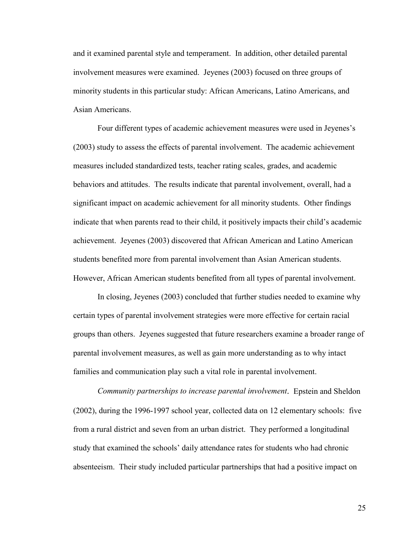and it examined parental style and temperament. In addition, other detailed parental involvement measures were examined. Jeyenes (2003) focused on three groups of minority students in this particular study: African Americans, Latino Americans, and Asian Americans.

Four different types of academic achievement measures were used in Jeyenes's (2003) study to assess the effects of parental involvement. The academic achievement measures included standardized tests, teacher rating scales, grades, and academic behaviors and attitudes. The results indicate that parental involvement, overall, had a significant impact on academic achievement for all minority students. Other findings indicate that when parents read to their child, it positively impacts their child's academic achievement. Jeyenes (2003) discovered that African American and Latino American students benefited more from parental involvement than Asian American students. However, African American students benefited from all types of parental involvement.

In closing, Jeyenes (2003) concluded that further studies needed to examine why certain types of parental involvement strategies were more effective for certain racial groups than others. Jeyenes suggested that future researchers examine a broader range of parental involvement measures, as well as gain more understanding as to why intact families and communication play such a vital role in parental involvement.

*Community partnerships to increase parental involvement.* Epstein and Sheldon (2002), during the 1996-1997 school year, collected data on 12 elementary schools: five from a rural district and seven from an urban district. They performed a longitudinal study that examined the schools' daily attendance rates for students who had chronic absenteeism. Their study included particular partnerships that had a positive impact on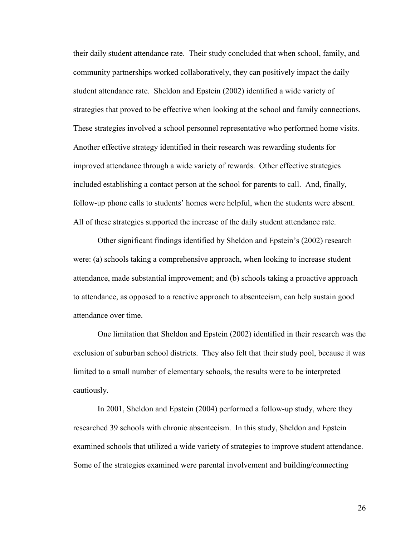their daily student attendance rate. Their study concluded that when school, family, and community partnerships worked collaboratively, they can positively impact the daily student attendance rate. Sheldon and Epstein (2002) identified a wide variety of strategies that proved to be effective when looking at the school and family connections. These strategies involved a school personnel representative who performed home visits. Another effective strategy identified in their research was rewarding students for improved attendance through a wide variety of rewards. Other effective strategies included establishing a contact person at the school for parents to call. And, finally, follow-up phone calls to students' homes were helpful, when the students were absent. All of these strategies supported the increase of the daily student attendance rate.

Other significant findings identified by Sheldon and Epstein's (2002) research were: (a) schools taking a comprehensive approach, when looking to increase student attendance, made substantial improvement; and (b) schools taking a proactive approach to attendance, as opposed to a reactive approach to absenteeism, can help sustain good attendance over time.

One limitation that Sheldon and Epstein (2002) identified in their research was the exclusion of suburban school districts. They also felt that their study pool, because it was limited to a small number of elementary schools, the results were to be interpreted cautiously.

In 2001, Sheldon and Epstein (2004) performed a follow-up study, where they researched 39 schools with chronic absenteeism. In this study, Sheldon and Epstein examined schools that utilized a wide variety of strategies to improve student attendance. Some of the strategies examined were parental involvement and building/connecting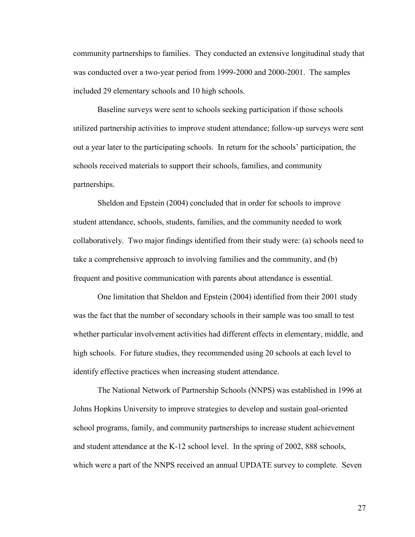community partnerships to families. They conducted an extensive longitudinal study that was conducted over a two-year period from 1999-2000 and 2000-2001. The samples included 29 elementary schools and 10 high schools.

Baseline surveys were sent to schools seeking participation if those schools utilized partnership activities to improve student attendance; follow-up surveys were sent out a year later to the participating schools. In return for the schools' participation, the schools received materials to support their schools, families, and community partnerships.

Sheldon and Epstein (2004) concluded that in order for schools to improve student attendance, schools, students, families, and the community needed to work collaboratively. Two major findings identified from their study were: (a) schools need to take a comprehensive approach to involving families and the community, and (b) frequent and positive communication with parents about attendance is essential.

One limitation that Sheldon and Epstein (2004) identified from their 2001 study was the fact that the number of secondary schools in their sample was too small to test whether particular involvement activities had different effects in elementary, middle, and high schools. For future studies, they recommended using 20 schools at each level to identify effective practices when increasing student attendance.

The National Network of Partnership Schools (NNPS) was established in 1996 at Johns Hopkins University to improve strategies to develop and sustain goal-oriented school programs, family, and community partnerships to increase student achievement and student attendance at the K-12 school level. In the spring of 2002, 888 schools, which were a part of the NNPS received an annual UPDATE survey to complete. Seven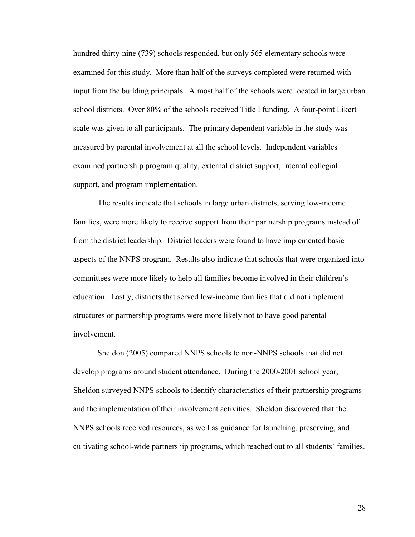hundred thirty-nine (739) schools responded, but only 565 elementary schools were examined for this study. More than half of the surveys completed were returned with input from the building principals. Almost half of the schools were located in large urban school districts. Over 80% of the schools received Title I funding. A four-point Likert scale was given to all participants. The primary dependent variable in the study was measured by parental involvement at all the school levels. Independent variables examined partnership program quality, external district support, internal collegial support, and program implementation.

The results indicate that schools in large urban districts, serving low-income families, were more likely to receive support from their partnership programs instead of from the district leadership. District leaders were found to have implemented basic aspects of the NNPS program. Results also indicate that schools that were organized into committees were more likely to help all families become involved in their children's education. Lastly, districts that served low-income families that did not implement structures or partnership programs were more likely not to have good parental involvement.

Sheldon (2005) compared NNPS schools to non-NNPS schools that did not develop programs around student attendance. During the 2000-2001 school year, Sheldon surveyed NNPS schools to identify characteristics of their partnership programs and the implementation of their involvement activities. Sheldon discovered that the NNPS schools received resources, as well as guidance for launching, preserving, and cultivating school-wide partnership programs, which reached out to all students' families.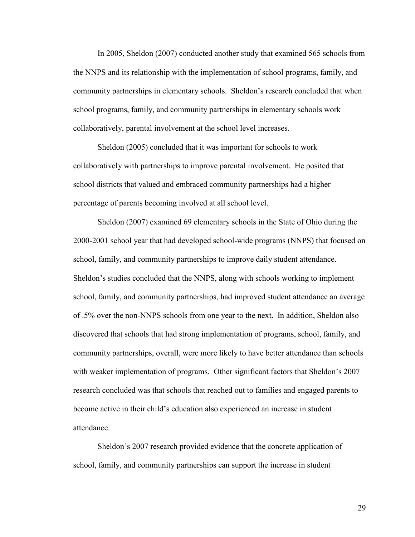In 2005, Sheldon (2007) conducted another study that examined 565 schools from the NNPS and its relationship with the implementation of school programs, family, and community partnerships in elementary schools. Sheldon's research concluded that when school programs, family, and community partnerships in elementary schools work collaboratively, parental involvement at the school level increases.

Sheldon (2005) concluded that it was important for schools to work collaboratively with partnerships to improve parental involvement. He posited that school districts that valued and embraced community partnerships had a higher percentage of parents becoming involved at all school level.

Sheldon (2007) examined 69 elementary schools in the State of Ohio during the 2000-2001 school year that had developed school-wide programs (NNPS) that focused on school, family, and community partnerships to improve daily student attendance. Sheldon's studies concluded that the NNPS, along with schools working to implement school, family, and community partnerships, had improved student attendance an average of .5% over the non-NNPS schools from one year to the next. In addition, Sheldon also discovered that schools that had strong implementation of programs, school, family, and community partnerships, overall, were more likely to have better attendance than schools with weaker implementation of programs. Other significant factors that Sheldon's 2007 research concluded was that schools that reached out to families and engaged parents to become active in their child's education also experienced an increase in student attendance.

Sheldon's 2007 research provided evidence that the concrete application of school, family, and community partnerships can support the increase in student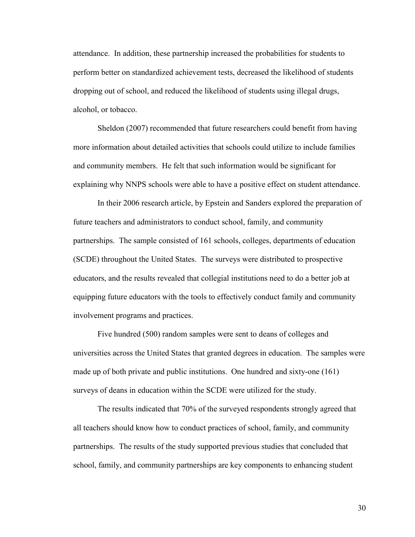attendance. In addition, these partnership increased the probabilities for students to perform better on standardized achievement tests, decreased the likelihood of students dropping out of school, and reduced the likelihood of students using illegal drugs, alcohol, or tobacco.

Sheldon (2007) recommended that future researchers could benefit from having more information about detailed activities that schools could utilize to include families and community members. He felt that such information would be significant for explaining why NNPS schools were able to have a positive effect on student attendance.

In their 2006 research article, by Epstein and Sanders explored the preparation of future teachers and administrators to conduct school, family, and community partnerships. The sample consisted of 161 schools, colleges, departments of education (SCDE) throughout the United States. The surveys were distributed to prospective educators, and the results revealed that collegial institutions need to do a better job at equipping future educators with the tools to effectively conduct family and community involvement programs and practices.

Five hundred (500) random samples were sent to deans of colleges and universities across the United States that granted degrees in education. The samples were made up of both private and public institutions. One hundred and sixty-one (161) surveys of deans in education within the SCDE were utilized for the study.

The results indicated that 70% of the surveyed respondents strongly agreed that all teachers should know how to conduct practices of school, family, and community partnerships. The results of the study supported previous studies that concluded that school, family, and community partnerships are key components to enhancing student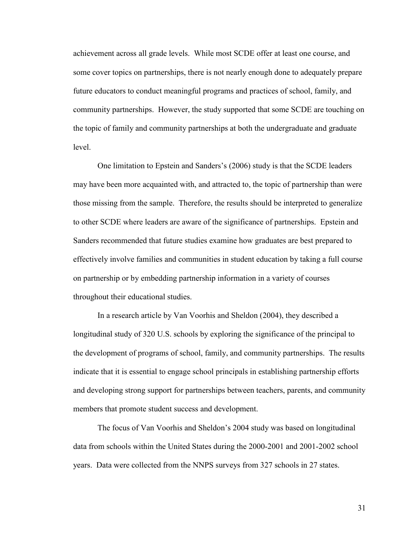achievement across all grade levels. While most SCDE offer at least one course, and some cover topics on partnerships, there is not nearly enough done to adequately prepare future educators to conduct meaningful programs and practices of school, family, and community partnerships. However, the study supported that some SCDE are touching on the topic of family and community partnerships at both the undergraduate and graduate level.

One limitation to Epstein and Sanders's (2006) study is that the SCDE leaders may have been more acquainted with, and attracted to, the topic of partnership than were those missing from the sample. Therefore, the results should be interpreted to generalize to other SCDE where leaders are aware of the significance of partnerships. Epstein and Sanders recommended that future studies examine how graduates are best prepared to effectively involve families and communities in student education by taking a full course on partnership or by embedding partnership information in a variety of courses throughout their educational studies.

In a research article by Van Voorhis and Sheldon (2004), they described a longitudinal study of 320 U.S. schools by exploring the significance of the principal to the development of programs of school, family, and community partnerships. The results indicate that it is essential to engage school principals in establishing partnership efforts and developing strong support for partnerships between teachers, parents, and community members that promote student success and development.

The focus of Van Voorhis and Sheldon's 2004 study was based on longitudinal data from schools within the United States during the 2000-2001 and 2001-2002 school years. Data were collected from the NNPS surveys from 327 schools in 27 states.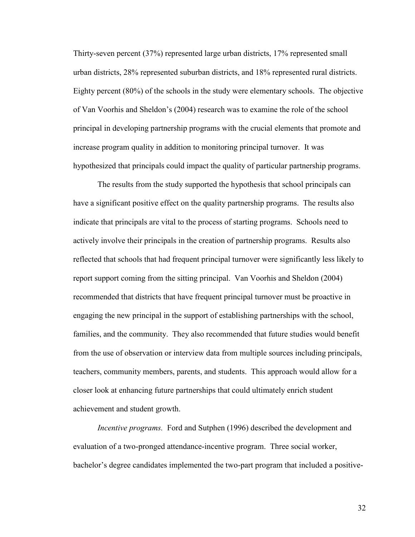Thirty-seven percent (37%) represented large urban districts, 17% represented small urban districts, 28% represented suburban districts, and 18% represented rural districts. Eighty percent (80%) of the schools in the study were elementary schools. The objective of Van Voorhis and Sheldon's (2004) research was to examine the role of the school principal in developing partnership programs with the crucial elements that promote and increase program quality in addition to monitoring principal turnover. It was hypothesized that principals could impact the quality of particular partnership programs.

The results from the study supported the hypothesis that school principals can have a significant positive effect on the quality partnership programs. The results also indicate that principals are vital to the process of starting programs. Schools need to actively involve their principals in the creation of partnership programs. Results also reflected that schools that had frequent principal turnover were significantly less likely to report support coming from the sitting principal. Van Voorhis and Sheldon (2004) recommended that districts that have frequent principal turnover must be proactive in engaging the new principal in the support of establishing partnerships with the school, families, and the community. They also recommended that future studies would benefit from the use of observation or interview data from multiple sources including principals, teachers, community members, parents, and students. This approach would allow for a closer look at enhancing future partnerships that could ultimately enrich student achievement and student growth.

*Incentive programs.* Ford and Sutphen (1996) described the development and evaluation of a two-pronged attendance-incentive program. Three social worker, bachelor's degree candidates implemented the two-part program that included a positive-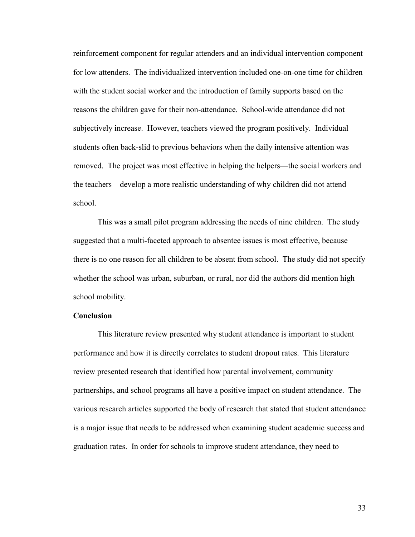reinforcement component for regular attenders and an individual intervention component for low attenders. The individualized intervention included one-on-one time for children with the student social worker and the introduction of family supports based on the reasons the children gave for their non-attendance. School-wide attendance did not subjectively increase. However, teachers viewed the program positively. Individual students often back-slid to previous behaviors when the daily intensive attention was removed. The project was most effective in helping the helpers—the social workers and the teachers—develop a more realistic understanding of why children did not attend school.

This was a small pilot program addressing the needs of nine children. The study suggested that a multi-faceted approach to absentee issues is most effective, because there is no one reason for all children to be absent from school. The study did not specify whether the school was urban, suburban, or rural, nor did the authors did mention high school mobility.

# **Conclusion**

This literature review presented why student attendance is important to student performance and how it is directly correlates to student dropout rates. This literature review presented research that identified how parental involvement, community partnerships, and school programs all have a positive impact on student attendance. The various research articles supported the body of research that stated that student attendance is a major issue that needs to be addressed when examining student academic success and graduation rates. In order for schools to improve student attendance, they need to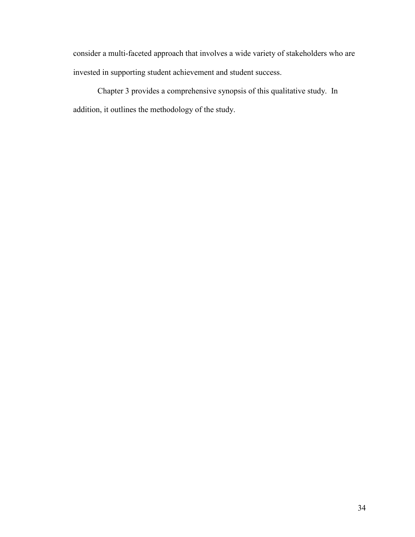consider a multi-faceted approach that involves a wide variety of stakeholders who are invested in supporting student achievement and student success.

Chapter 3 provides a comprehensive synopsis of this qualitative study. In addition, it outlines the methodology of the study.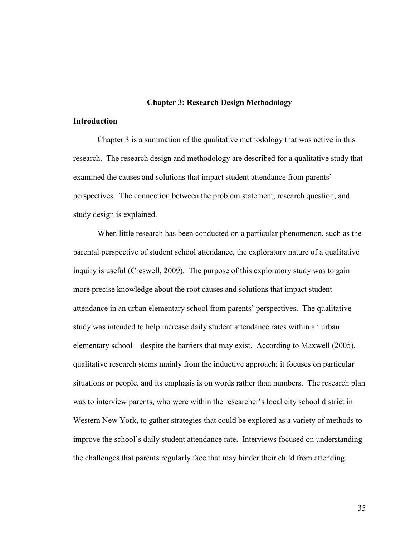### **Chapter 3: Research Design Methodology**

# **Introduction**

Chapter 3 is a summation of the qualitative methodology that was active in this research. The research design and methodology are described for a qualitative study that examined the causes and solutions that impact student attendance from parents' perspectives. The connection between the problem statement, research question, and study design is explained.

When little research has been conducted on a particular phenomenon, such as the parental perspective of student school attendance, the exploratory nature of a qualitative inquiry is useful (Creswell, 2009). The purpose of this exploratory study was to gain more precise knowledge about the root causes and solutions that impact student attendance in an urban elementary school from parents' perspectives. The qualitative study was intended to help increase daily student attendance rates within an urban elementary school—despite the barriers that may exist. According to Maxwell (2005), qualitative research stems mainly from the inductive approach; it focuses on particular situations or people, and its emphasis is on words rather than numbers. The research plan was to interview parents, who were within the researcher's local city school district in Western New York, to gather strategies that could be explored as a variety of methods to improve the school's daily student attendance rate. Interviews focused on understanding the challenges that parents regularly face that may hinder their child from attending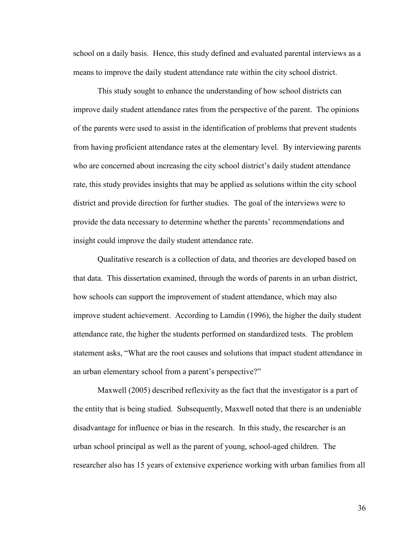school on a daily basis. Hence, this study defined and evaluated parental interviews as a means to improve the daily student attendance rate within the city school district.

This study sought to enhance the understanding of how school districts can improve daily student attendance rates from the perspective of the parent. The opinions of the parents were used to assist in the identification of problems that prevent students from having proficient attendance rates at the elementary level. By interviewing parents who are concerned about increasing the city school district's daily student attendance rate, this study provides insights that may be applied as solutions within the city school district and provide direction for further studies. The goal of the interviews were to provide the data necessary to determine whether the parents' recommendations and insight could improve the daily student attendance rate.

Qualitative research is a collection of data, and theories are developed based on that data. This dissertation examined, through the words of parents in an urban district, how schools can support the improvement of student attendance, which may also improve student achievement. According to Lamdin (1996), the higher the daily student attendance rate, the higher the students performed on standardized tests. The problem statement asks, "What are the root causes and solutions that impact student attendance in an urban elementary school from a parent's perspective?"

Maxwell (2005) described reflexivity as the fact that the investigator is a part of the entity that is being studied. Subsequently, Maxwell noted that there is an undeniable disadvantage for influence or bias in the research. In this study, the researcher is an urban school principal as well as the parent of young, school-aged children. The researcher also has 15 years of extensive experience working with urban families from all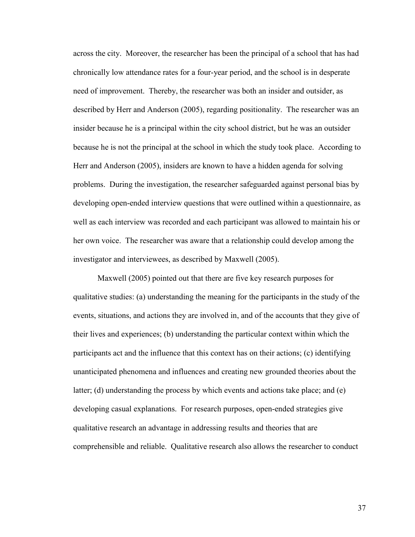across the city. Moreover, the researcher has been the principal of a school that has had chronically low attendance rates for a four-year period, and the school is in desperate need of improvement. Thereby, the researcher was both an insider and outsider, as described by Herr and Anderson (2005), regarding positionality. The researcher was an insider because he is a principal within the city school district, but he was an outsider because he is not the principal at the school in which the study took place. According to Herr and Anderson (2005), insiders are known to have a hidden agenda for solving problems. During the investigation, the researcher safeguarded against personal bias by developing open-ended interview questions that were outlined within a questionnaire, as well as each interview was recorded and each participant was allowed to maintain his or her own voice. The researcher was aware that a relationship could develop among the investigator and interviewees, as described by Maxwell (2005).

Maxwell (2005) pointed out that there are five key research purposes for qualitative studies: (a) understanding the meaning for the participants in the study of the events, situations, and actions they are involved in, and of the accounts that they give of their lives and experiences; (b) understanding the particular context within which the participants act and the influence that this context has on their actions; (c) identifying unanticipated phenomena and influences and creating new grounded theories about the latter; (d) understanding the process by which events and actions take place; and (e) developing casual explanations. For research purposes, open-ended strategies give qualitative research an advantage in addressing results and theories that are comprehensible and reliable. Qualitative research also allows the researcher to conduct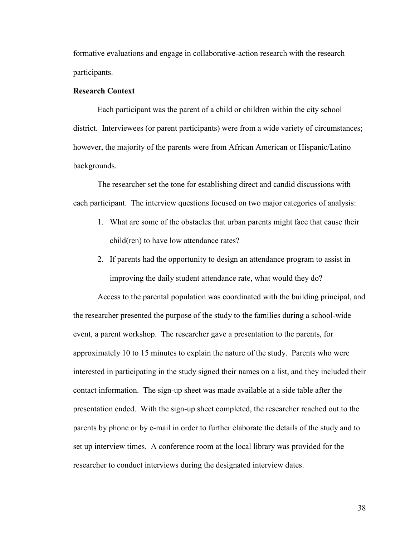formative evaluations and engage in collaborative-action research with the research participants.

# **Research Context**

Each participant was the parent of a child or children within the city school district. Interviewees (or parent participants) were from a wide variety of circumstances; however, the majority of the parents were from African American or Hispanic/Latino backgrounds.

The researcher set the tone for establishing direct and candid discussions with each participant. The interview questions focused on two major categories of analysis:

- 1. What are some of the obstacles that urban parents might face that cause their child(ren) to have low attendance rates?
- 2. If parents had the opportunity to design an attendance program to assist in improving the daily student attendance rate, what would they do?

Access to the parental population was coordinated with the building principal, and the researcher presented the purpose of the study to the families during a school-wide event, a parent workshop. The researcher gave a presentation to the parents, for approximately 10 to 15 minutes to explain the nature of the study. Parents who were interested in participating in the study signed their names on a list, and they included their contact information. The sign-up sheet was made available at a side table after the presentation ended. With the sign-up sheet completed, the researcher reached out to the parents by phone or by e-mail in order to further elaborate the details of the study and to set up interview times. A conference room at the local library was provided for the researcher to conduct interviews during the designated interview dates.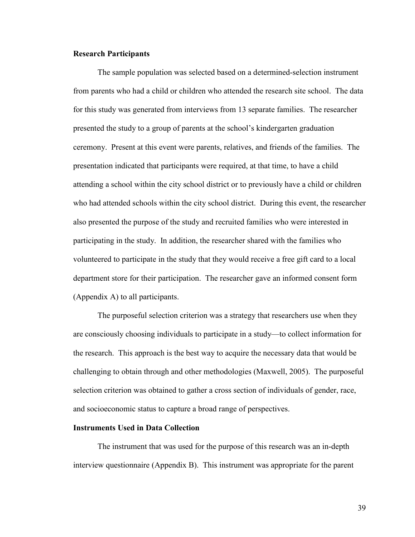## **Research Participants**

The sample population was selected based on a determined-selection instrument from parents who had a child or children who attended the research site school. The data for this study was generated from interviews from 13 separate families. The researcher presented the study to a group of parents at the school's kindergarten graduation ceremony. Present at this event were parents, relatives, and friends of the families. The presentation indicated that participants were required, at that time, to have a child attending a school within the city school district or to previously have a child or children who had attended schools within the city school district. During this event, the researcher also presented the purpose of the study and recruited families who were interested in participating in the study. In addition, the researcher shared with the families who volunteered to participate in the study that they would receive a free gift card to a local department store for their participation. The researcher gave an informed consent form (Appendix A) to all participants.

The purposeful selection criterion was a strategy that researchers use when they are consciously choosing individuals to participate in a study—to collect information for the research. This approach is the best way to acquire the necessary data that would be challenging to obtain through and other methodologies (Maxwell, 2005). The purposeful selection criterion was obtained to gather a cross section of individuals of gender, race, and socioeconomic status to capture a broad range of perspectives.

# **Instruments Used in Data Collection**

The instrument that was used for the purpose of this research was an in-depth interview questionnaire (Appendix B). This instrument was appropriate for the parent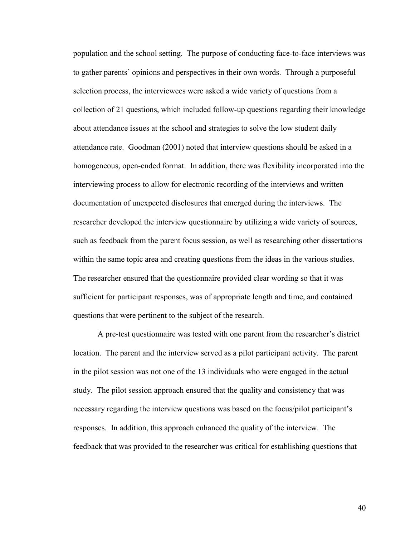population and the school setting. The purpose of conducting face-to-face interviews was to gather parents' opinions and perspectives in their own words. Through a purposeful selection process, the interviewees were asked a wide variety of questions from a collection of 21 questions, which included follow-up questions regarding their knowledge about attendance issues at the school and strategies to solve the low student daily attendance rate. Goodman (2001) noted that interview questions should be asked in a homogeneous, open-ended format. In addition, there was flexibility incorporated into the interviewing process to allow for electronic recording of the interviews and written documentation of unexpected disclosures that emerged during the interviews. The researcher developed the interview questionnaire by utilizing a wide variety of sources, such as feedback from the parent focus session, as well as researching other dissertations within the same topic area and creating questions from the ideas in the various studies. The researcher ensured that the questionnaire provided clear wording so that it was sufficient for participant responses, was of appropriate length and time, and contained questions that were pertinent to the subject of the research.

A pre-test questionnaire was tested with one parent from the researcher's district location. The parent and the interview served as a pilot participant activity. The parent in the pilot session was not one of the 13 individuals who were engaged in the actual study. The pilot session approach ensured that the quality and consistency that was necessary regarding the interview questions was based on the focus/pilot participant's responses. In addition, this approach enhanced the quality of the interview. The feedback that was provided to the researcher was critical for establishing questions that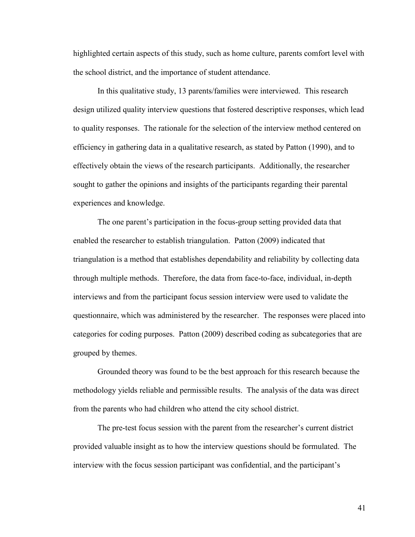highlighted certain aspects of this study, such as home culture, parents comfort level with the school district, and the importance of student attendance.

In this qualitative study, 13 parents/families were interviewed. This research design utilized quality interview questions that fostered descriptive responses, which lead to quality responses. The rationale for the selection of the interview method centered on efficiency in gathering data in a qualitative research, as stated by Patton (1990), and to effectively obtain the views of the research participants. Additionally, the researcher sought to gather the opinions and insights of the participants regarding their parental experiences and knowledge.

The one parent's participation in the focus-group setting provided data that enabled the researcher to establish triangulation. Patton (2009) indicated that triangulation is a method that establishes dependability and reliability by collecting data through multiple methods. Therefore, the data from face-to-face, individual, in-depth interviews and from the participant focus session interview were used to validate the questionnaire, which was administered by the researcher. The responses were placed into categories for coding purposes. Patton (2009) described coding as subcategories that are grouped by themes.

Grounded theory was found to be the best approach for this research because the methodology yields reliable and permissible results. The analysis of the data was direct from the parents who had children who attend the city school district.

The pre-test focus session with the parent from the researcher's current district provided valuable insight as to how the interview questions should be formulated. The interview with the focus session participant was confidential, and the participant's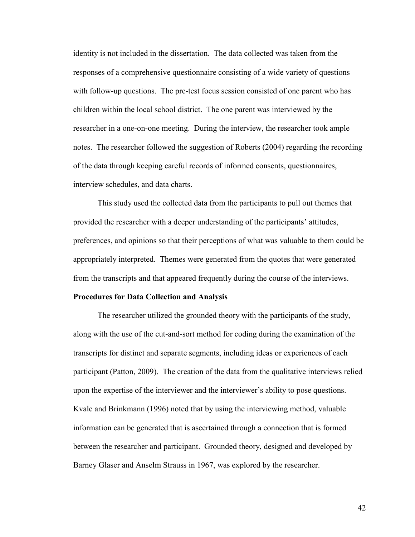identity is not included in the dissertation. The data collected was taken from the responses of a comprehensive questionnaire consisting of a wide variety of questions with follow-up questions. The pre-test focus session consisted of one parent who has children within the local school district. The one parent was interviewed by the researcher in a one-on-one meeting. During the interview, the researcher took ample notes. The researcher followed the suggestion of Roberts (2004) regarding the recording of the data through keeping careful records of informed consents, questionnaires, interview schedules, and data charts.

This study used the collected data from the participants to pull out themes that provided the researcher with a deeper understanding of the participants' attitudes, preferences, and opinions so that their perceptions of what was valuable to them could be appropriately interpreted. Themes were generated from the quotes that were generated from the transcripts and that appeared frequently during the course of the interviews.

### **Procedures for Data Collection and Analysis**

The researcher utilized the grounded theory with the participants of the study, along with the use of the cut-and-sort method for coding during the examination of the transcripts for distinct and separate segments, including ideas or experiences of each participant (Patton, 2009). The creation of the data from the qualitative interviews relied upon the expertise of the interviewer and the interviewer's ability to pose questions. Kvale and Brinkmann (1996) noted that by using the interviewing method, valuable information can be generated that is ascertained through a connection that is formed between the researcher and participant. Grounded theory, designed and developed by Barney Glaser and Anselm Strauss in 1967, was explored by the researcher.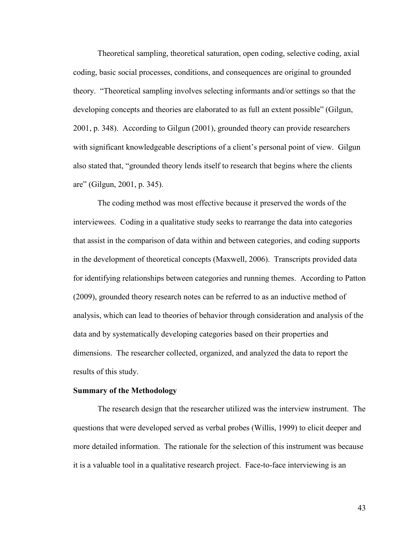Theoretical sampling, theoretical saturation, open coding, selective coding, axial coding, basic social processes, conditions, and consequences are original to grounded theory. "Theoretical sampling involves selecting informants and/or settings so that the developing concepts and theories are elaborated to as full an extent possible" (Gilgun, 2001, p. 348). According to Gilgun (2001), grounded theory can provide researchers with significant knowledgeable descriptions of a client's personal point of view. Gilgun also stated that, "grounded theory lends itself to research that begins where the clients are" (Gilgun, 2001, p. 345).

The coding method was most effective because it preserved the words of the interviewees. Coding in a qualitative study seeks to rearrange the data into categories that assist in the comparison of data within and between categories, and coding supports in the development of theoretical concepts (Maxwell, 2006). Transcripts provided data for identifying relationships between categories and running themes. According to Patton (2009), grounded theory research notes can be referred to as an inductive method of analysis, which can lead to theories of behavior through consideration and analysis of the data and by systematically developing categories based on their properties and dimensions. The researcher collected, organized, and analyzed the data to report the results of this study.

### **Summary of the Methodology**

The research design that the researcher utilized was the interview instrument. The questions that were developed served as verbal probes (Willis, 1999) to elicit deeper and more detailed information. The rationale for the selection of this instrument was because it is a valuable tool in a qualitative research project. Face-to-face interviewing is an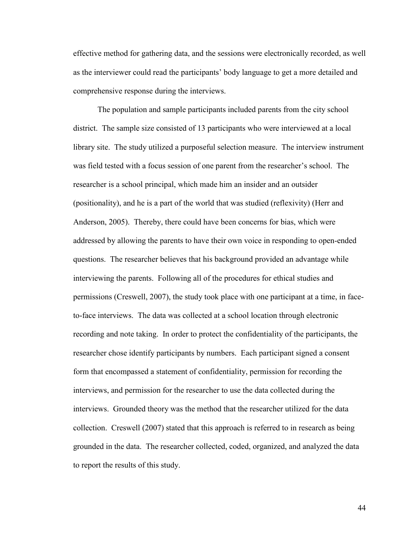effective method for gathering data, and the sessions were electronically recorded, as well as the interviewer could read the participants' body language to get a more detailed and comprehensive response during the interviews.

The population and sample participants included parents from the city school district. The sample size consisted of 13 participants who were interviewed at a local library site. The study utilized a purposeful selection measure. The interview instrument was field tested with a focus session of one parent from the researcher's school. The researcher is a school principal, which made him an insider and an outsider (positionality), and he is a part of the world that was studied (reflexivity) (Herr and Anderson, 2005). Thereby, there could have been concerns for bias, which were addressed by allowing the parents to have their own voice in responding to open-ended questions. The researcher believes that his background provided an advantage while interviewing the parents. Following all of the procedures for ethical studies and permissions (Creswell, 2007), the study took place with one participant at a time, in faceto-face interviews. The data was collected at a school location through electronic recording and note taking. In order to protect the confidentiality of the participants, the researcher chose identify participants by numbers. Each participant signed a consent form that encompassed a statement of confidentiality, permission for recording the interviews, and permission for the researcher to use the data collected during the interviews. Grounded theory was the method that the researcher utilized for the data collection. Creswell (2007) stated that this approach is referred to in research as being grounded in the data. The researcher collected, coded, organized, and analyzed the data to report the results of this study.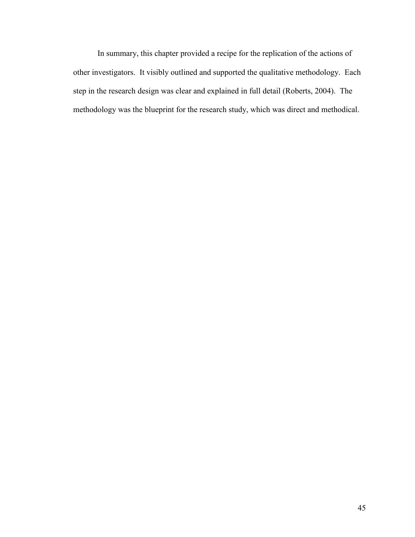In summary, this chapter provided a recipe for the replication of the actions of other investigators. It visibly outlined and supported the qualitative methodology. Each step in the research design was clear and explained in full detail (Roberts, 2004). The methodology was the blueprint for the research study, which was direct and methodical.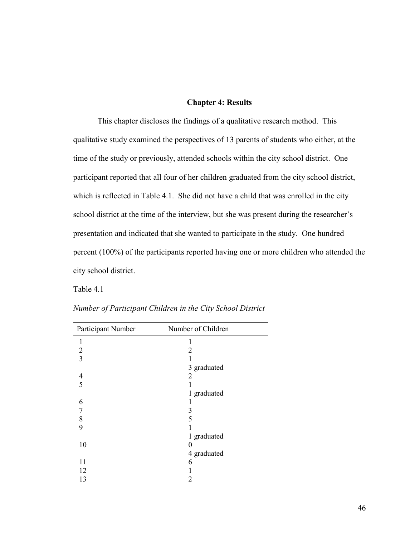# **Chapter 4: Results**

This chapter discloses the findings of a qualitative research method. This qualitative study examined the perspectives of 13 parents of students who either, at the time of the study or previously, attended schools within the city school district. One participant reported that all four of her children graduated from the city school district, which is reflected in Table 4.1. She did not have a child that was enrolled in the city school district at the time of the interview, but she was present during the researcher's presentation and indicated that she wanted to participate in the study. One hundred percent (100%) of the participants reported having one or more children who attended the city school district.

Table 4.1

| Participant Number | Number of Children |
|--------------------|--------------------|
| $\mathbf{1}$       | 1                  |
| $\overline{2}$     | 2                  |
| $\overline{3}$     |                    |
|                    | 3 graduated        |
| $\overline{4}$     | 2                  |
| 5                  |                    |
|                    | 1 graduated        |
| 6                  |                    |
| 7                  | 3                  |
| 8                  | 5                  |
| 9                  |                    |
|                    | 1 graduated        |
| 10                 | 0                  |
|                    | 4 graduated        |
| 11                 | 6                  |
| 12                 |                    |
| 13                 | 2                  |
|                    |                    |

*Number of Participant Children in the City School District*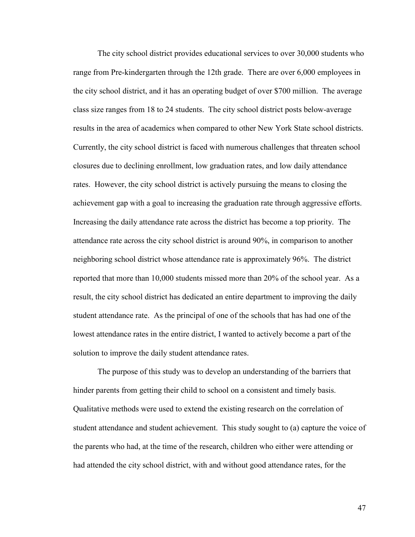The city school district provides educational services to over 30,000 students who range from Pre-kindergarten through the 12th grade. There are over 6,000 employees in the city school district, and it has an operating budget of over \$700 million. The average class size ranges from 18 to 24 students. The city school district posts below-average results in the area of academics when compared to other New York State school districts. Currently, the city school district is faced with numerous challenges that threaten school closures due to declining enrollment, low graduation rates, and low daily attendance rates. However, the city school district is actively pursuing the means to closing the achievement gap with a goal to increasing the graduation rate through aggressive efforts. Increasing the daily attendance rate across the district has become a top priority. The attendance rate across the city school district is around 90%, in comparison to another neighboring school district whose attendance rate is approximately 96%. The district reported that more than 10,000 students missed more than 20% of the school year. As a result, the city school district has dedicated an entire department to improving the daily student attendance rate. As the principal of one of the schools that has had one of the lowest attendance rates in the entire district, I wanted to actively become a part of the solution to improve the daily student attendance rates.

The purpose of this study was to develop an understanding of the barriers that hinder parents from getting their child to school on a consistent and timely basis. Qualitative methods were used to extend the existing research on the correlation of student attendance and student achievement. This study sought to (a) capture the voice of the parents who had, at the time of the research, children who either were attending or had attended the city school district, with and without good attendance rates, for the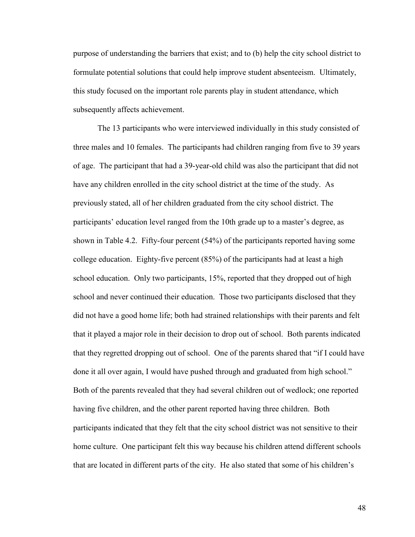purpose of understanding the barriers that exist; and to (b) help the city school district to formulate potential solutions that could help improve student absenteeism. Ultimately, this study focused on the important role parents play in student attendance, which subsequently affects achievement.

The 13 participants who were interviewed individually in this study consisted of three males and 10 females. The participants had children ranging from five to 39 years of age. The participant that had a 39-year-old child was also the participant that did not have any children enrolled in the city school district at the time of the study. As previously stated, all of her children graduated from the city school district. The participants' education level ranged from the 10th grade up to a master's degree, as shown in Table 4.2. Fifty-four percent (54%) of the participants reported having some college education. Eighty-five percent (85%) of the participants had at least a high school education. Only two participants, 15%, reported that they dropped out of high school and never continued their education. Those two participants disclosed that they did not have a good home life; both had strained relationships with their parents and felt that it played a major role in their decision to drop out of school. Both parents indicated that they regretted dropping out of school. One of the parents shared that "if I could have done it all over again, I would have pushed through and graduated from high school." Both of the parents revealed that they had several children out of wedlock; one reported having five children, and the other parent reported having three children. Both participants indicated that they felt that the city school district was not sensitive to their home culture. One participant felt this way because his children attend different schools that are located in different parts of the city. He also stated that some of his children's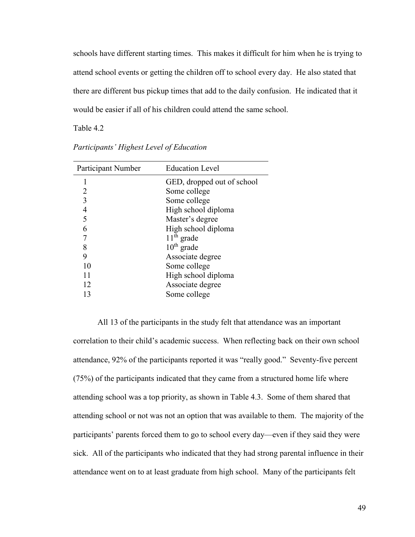schools have different starting times. This makes it difficult for him when he is trying to attend school events or getting the children off to school every day. He also stated that there are different bus pickup times that add to the daily confusion. He indicated that it would be easier if all of his children could attend the same school.

Table 4.2

| Participant Number | <b>Education Level</b>     |
|--------------------|----------------------------|
|                    | GED, dropped out of school |
| 2                  | Some college               |
| 3                  | Some college               |
| 4                  | High school diploma        |
| 5                  | Master's degree            |
| 6                  | High school diploma        |
|                    | $11th$ grade               |
| 8                  | $10^{th}$ grade            |
| 9                  | Associate degree           |
| 10                 | Some college               |
| 11                 | High school diploma        |
| 12                 | Associate degree           |
| 13                 | Some college               |
|                    |                            |

*Participants' Highest Level of Education*

All 13 of the participants in the study felt that attendance was an important correlation to their child's academic success. When reflecting back on their own school attendance, 92% of the participants reported it was "really good." Seventy-five percent (75%) of the participants indicated that they came from a structured home life where attending school was a top priority, as shown in Table 4.3. Some of them shared that attending school or not was not an option that was available to them. The majority of the participants' parents forced them to go to school every day—even if they said they were sick. All of the participants who indicated that they had strong parental influence in their attendance went on to at least graduate from high school. Many of the participants felt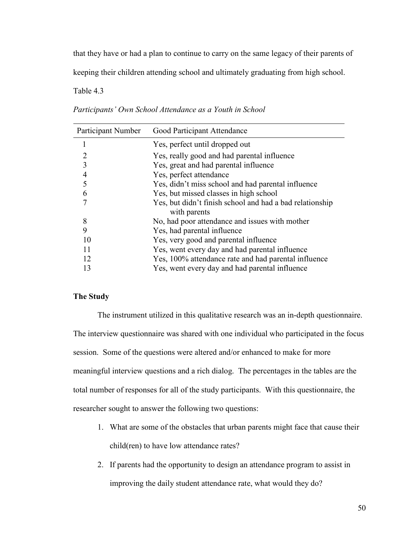that they have or had a plan to continue to carry on the same legacy of their parents of

keeping their children attending school and ultimately graduating from high school.

Table 4.3

| Participant Number | Good Participant Attendance                                              |
|--------------------|--------------------------------------------------------------------------|
| 1                  | Yes, perfect until dropped out                                           |
| 2                  | Yes, really good and had parental influence                              |
| 3                  | Yes, great and had parental influence                                    |
| $\overline{4}$     | Yes, perfect attendance                                                  |
| 5                  | Yes, didn't miss school and had parental influence                       |
| 6                  | Yes, but missed classes in high school                                   |
| 7                  | Yes, but didn't finish school and had a bad relationship<br>with parents |
| 8                  | No, had poor attendance and issues with mother                           |
| 9                  | Yes, had parental influence                                              |
| 10                 | Yes, very good and parental influence                                    |
| 11                 | Yes, went every day and had parental influence                           |
| 12                 | Yes, 100% attendance rate and had parental influence                     |
| 13                 | Yes, went every day and had parental influence                           |

*Participants' Own School Attendance as a Youth in School*

# **The Study**

The instrument utilized in this qualitative research was an in-depth questionnaire. The interview questionnaire was shared with one individual who participated in the focus session. Some of the questions were altered and/or enhanced to make for more meaningful interview questions and a rich dialog. The percentages in the tables are the total number of responses for all of the study participants. With this questionnaire, the researcher sought to answer the following two questions:

- 1. What are some of the obstacles that urban parents might face that cause their child(ren) to have low attendance rates?
- 2. If parents had the opportunity to design an attendance program to assist in improving the daily student attendance rate, what would they do?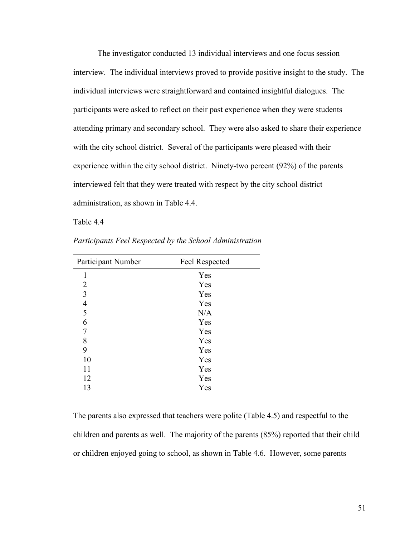The investigator conducted 13 individual interviews and one focus session interview. The individual interviews proved to provide positive insight to the study. The individual interviews were straightforward and contained insightful dialogues. The participants were asked to reflect on their past experience when they were students attending primary and secondary school. They were also asked to share their experience with the city school district. Several of the participants were pleased with their experience within the city school district. Ninety-two percent (92%) of the parents interviewed felt that they were treated with respect by the city school district administration, as shown in Table 4.4.

Table 4.4

| Participant Number | Feel Respected |
|--------------------|----------------|
| 1                  | Yes            |
| $\overline{2}$     | Yes            |
| 3                  | Yes            |
| $\overline{4}$     | Yes            |
| 5                  | N/A            |
| 6                  | Yes            |
| 7                  | Yes            |
| 8                  | Yes            |
| 9                  | Yes            |
| 10                 | Yes            |
| 11                 | Yes            |
| 12                 | Yes            |
| 13                 | Yes            |

*Participants Feel Respected by the School Administration*

The parents also expressed that teachers were polite (Table 4.5) and respectful to the children and parents as well. The majority of the parents (85%) reported that their child or children enjoyed going to school, as shown in Table 4.6. However, some parents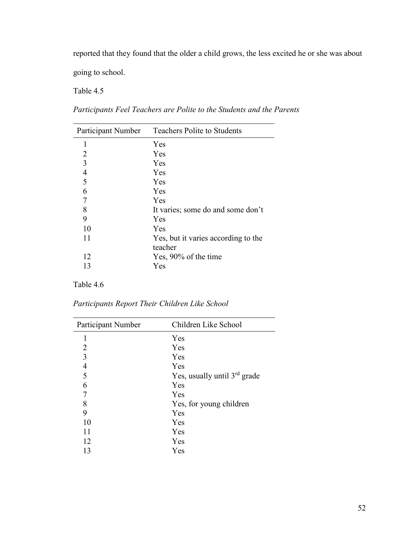reported that they found that the older a child grows, the less excited he or she was about

going to school.

Table 4.5

| Participant Number | <b>Teachers Polite to Students</b>  |
|--------------------|-------------------------------------|
| 1                  | Yes                                 |
| 2                  | Yes                                 |
| 3                  | Yes                                 |
| 4                  | Yes                                 |
| 5                  | Yes                                 |
| 6                  | Yes                                 |
|                    | Yes                                 |
| 8                  | It varies; some do and some don't   |
| 9                  | Yes                                 |
| 10                 | Yes                                 |
| 11                 | Yes, but it varies according to the |
|                    | teacher                             |
| 12                 | Yes, 90% of the time                |
| 13                 | Yes                                 |

*Participants Feel Teachers are Polite to the Students and the Parents*

Table 4.6

*Participants Report Their Children Like School*

| Participant Number | Children Like School                     |
|--------------------|------------------------------------------|
| 1                  | Yes                                      |
| 2                  | Yes                                      |
| $\overline{3}$     | Yes                                      |
| $\overline{4}$     | Yes                                      |
| 5                  | Yes, usually until 3 <sup>rd</sup> grade |
| 6                  | Yes                                      |
| 7                  | Yes                                      |
| 8                  | Yes, for young children                  |
| 9                  | Yes                                      |
| 10                 | Yes                                      |
| 11                 | Yes                                      |
| 12                 | Yes                                      |
| 13                 | Yes                                      |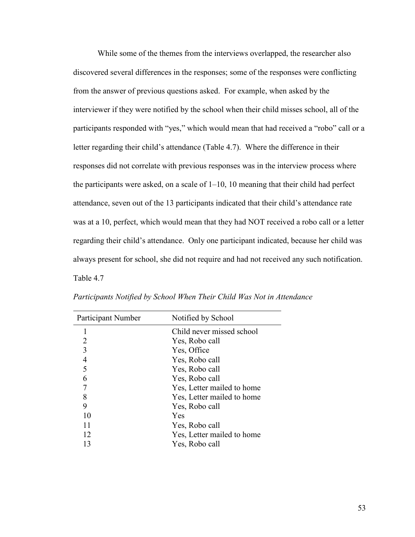While some of the themes from the interviews overlapped, the researcher also discovered several differences in the responses; some of the responses were conflicting from the answer of previous questions asked. For example, when asked by the interviewer if they were notified by the school when their child misses school, all of the participants responded with "yes," which would mean that had received a "robo" call or a letter regarding their child's attendance (Table 4.7). Where the difference in their responses did not correlate with previous responses was in the interview process where the participants were asked, on a scale of 1–10, 10 meaning that their child had perfect attendance, seven out of the 13 participants indicated that their child's attendance rate was at a 10, perfect, which would mean that they had NOT received a robo call or a letter regarding their child's attendance. Only one participant indicated, because her child was always present for school, she did not require and had not received any such notification. Table 4.7

| Participant Number | Notified by School         |
|--------------------|----------------------------|
|                    | Child never missed school  |
| 2                  | Yes, Robo call             |
| 3                  | Yes, Office                |
| 4                  | Yes, Robo call             |
| 5                  | Yes, Robo call             |
| 6                  | Yes, Robo call             |
|                    | Yes, Letter mailed to home |
| 8                  | Yes, Letter mailed to home |
| 9                  | Yes, Robo call             |
| 10                 | Yes                        |
| 11                 | Yes, Robo call             |
| 12                 | Yes, Letter mailed to home |
| 13                 | Yes, Robo call             |

*Participants Notified by School When Their Child Was Not in Attendance*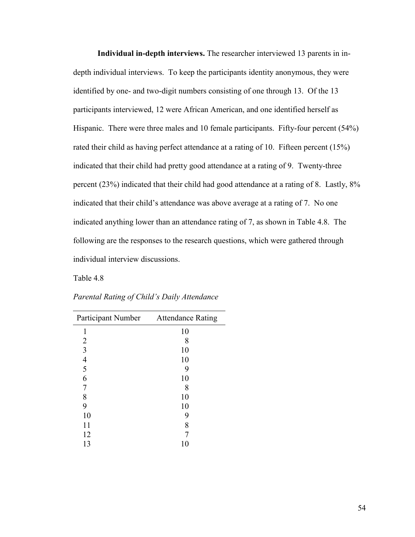**Individual in-depth interviews.** The researcher interviewed 13 parents in indepth individual interviews. To keep the participants identity anonymous, they were identified by one- and two-digit numbers consisting of one through 13. Of the 13 participants interviewed, 12 were African American, and one identified herself as Hispanic. There were three males and 10 female participants. Fifty-four percent (54%) rated their child as having perfect attendance at a rating of 10. Fifteen percent (15%) indicated that their child had pretty good attendance at a rating of 9. Twenty-three percent (23%) indicated that their child had good attendance at a rating of 8. Lastly, 8% indicated that their child's attendance was above average at a rating of 7. No one indicated anything lower than an attendance rating of 7, as shown in Table 4.8. The following are the responses to the research questions, which were gathered through individual interview discussions.

Table 4.8

| Participant Number Attendance Rating |    |
|--------------------------------------|----|
| 1                                    | 10 |
| 2                                    | 8  |
| 3                                    | 10 |
| $\overline{\mathcal{A}}$             | 10 |
| 5                                    | 9  |
| 6                                    | 10 |
| 7                                    | 8  |
| 8                                    | 10 |
| 9                                    | 10 |
| 10                                   | 9  |
| 11                                   | 8  |
| 12                                   |    |
| 13                                   | 10 |

*Parental Rating of Child's Daily Attendance*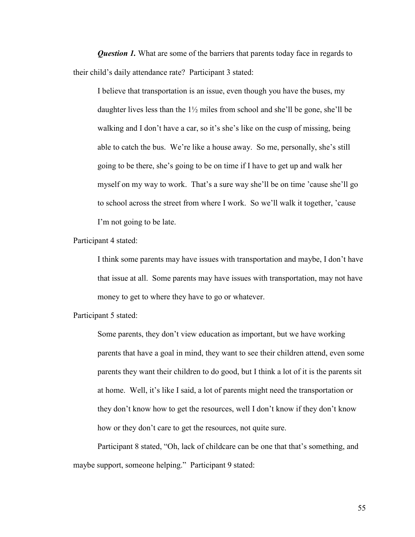*Question 1.* What are some of the barriers that parents today face in regards to their child's daily attendance rate? Participant 3 stated:

I believe that transportation is an issue, even though you have the buses, my daughter lives less than the  $1\frac{1}{2}$  miles from school and she'll be gone, she'll be walking and I don't have a car, so it's she's like on the cusp of missing, being able to catch the bus. We're like a house away. So me, personally, she's still going to be there, she's going to be on time if I have to get up and walk her myself on my way to work. That's a sure way she'll be on time 'cause she'll go to school across the street from where I work. So we'll walk it together, 'cause I'm not going to be late.

Participant 4 stated:

I think some parents may have issues with transportation and maybe, I don't have that issue at all. Some parents may have issues with transportation, may not have money to get to where they have to go or whatever.

Participant 5 stated:

Some parents, they don't view education as important, but we have working parents that have a goal in mind, they want to see their children attend, even some parents they want their children to do good, but I think a lot of it is the parents sit at home. Well, it's like I said, a lot of parents might need the transportation or they don't know how to get the resources, well I don't know if they don't know how or they don't care to get the resources, not quite sure.

Participant 8 stated, "Oh, lack of childcare can be one that that's something, and maybe support, someone helping." Participant 9 stated: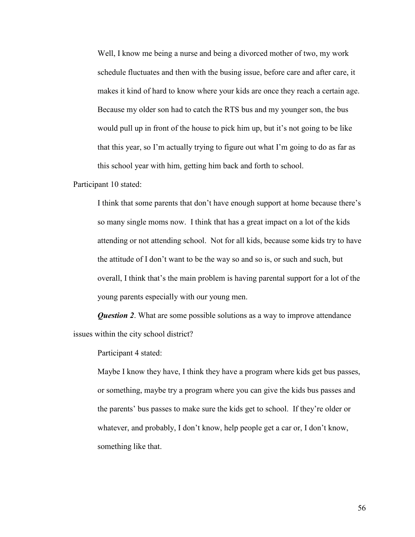Well, I know me being a nurse and being a divorced mother of two, my work schedule fluctuates and then with the busing issue, before care and after care, it makes it kind of hard to know where your kids are once they reach a certain age. Because my older son had to catch the RTS bus and my younger son, the bus would pull up in front of the house to pick him up, but it's not going to be like that this year, so I'm actually trying to figure out what I'm going to do as far as this school year with him, getting him back and forth to school.

Participant 10 stated:

I think that some parents that don't have enough support at home because there's so many single moms now. I think that has a great impact on a lot of the kids attending or not attending school. Not for all kids, because some kids try to have the attitude of I don't want to be the way so and so is, or such and such, but overall, I think that's the main problem is having parental support for a lot of the young parents especially with our young men.

*Question 2*. What are some possible solutions as a way to improve attendance issues within the city school district?

Participant 4 stated:

Maybe I know they have, I think they have a program where kids get bus passes, or something, maybe try a program where you can give the kids bus passes and the parents' bus passes to make sure the kids get to school. If they're older or whatever, and probably, I don't know, help people get a car or, I don't know, something like that.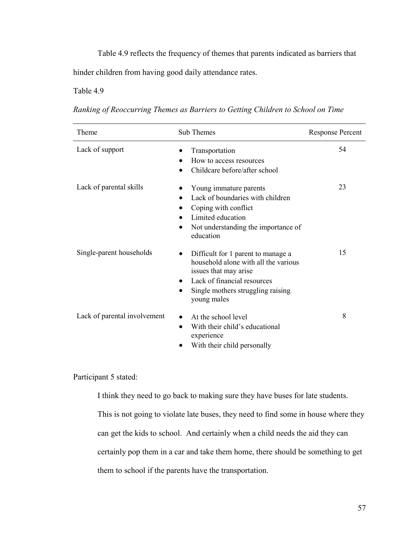Table 4.9 reflects the frequency of themes that parents indicated as barriers that hinder children from having good daily attendance rates.

Table 4.9

| Ranking of Reoccurring Themes as Barriers to Getting Children to School on Time |  |  |  |  |  |  |
|---------------------------------------------------------------------------------|--|--|--|--|--|--|
|---------------------------------------------------------------------------------|--|--|--|--|--|--|

| Theme                        | Sub Themes                                                                                                                                                                                          | <b>Response Percent</b> |
|------------------------------|-----------------------------------------------------------------------------------------------------------------------------------------------------------------------------------------------------|-------------------------|
| Lack of support              | Transportation<br>How to access resources<br>Childcare before/after school                                                                                                                          | 54                      |
| Lack of parental skills      | Young immature parents<br>Lack of boundaries with children<br>$\bullet$<br>Coping with conflict<br>Limited education<br>$\bullet$<br>Not understanding the importance of<br>education               | 23                      |
| Single-parent households     | Difficult for 1 parent to manage a<br>household alone with all the various<br>issues that may arise<br>Lack of financial resources<br>$\bullet$<br>Single mothers struggling raising<br>young males | 15                      |
| Lack of parental involvement | At the school level<br>$\bullet$<br>With their child's educational<br>$\bullet$<br>experience<br>With their child personally                                                                        | 8                       |

Participant 5 stated:

I think they need to go back to making sure they have buses for late students. This is not going to violate late buses, they need to find some in house where they can get the kids to school. And certainly when a child needs the aid they can certainly pop them in a car and take them home, there should be something to get them to school if the parents have the transportation.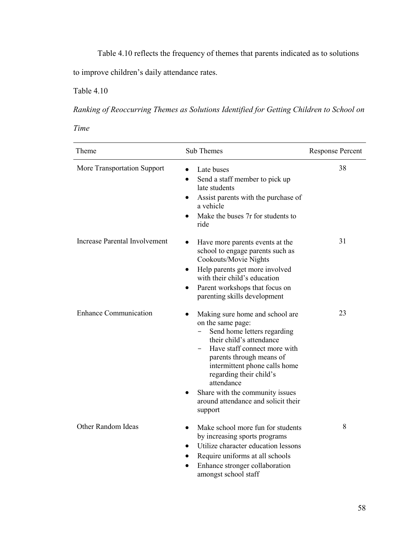Table 4.10 reflects the frequency of themes that parents indicated as to solutions

to improve children's daily attendance rates.

Table 4.10

*Ranking of Reoccurring Themes as Solutions Identified for Getting Children to School on* 

*Time*

| Theme                                | Sub Themes                                                                                                                                                                                                                                                                                                                                                           | <b>Response Percent</b> |
|--------------------------------------|----------------------------------------------------------------------------------------------------------------------------------------------------------------------------------------------------------------------------------------------------------------------------------------------------------------------------------------------------------------------|-------------------------|
| More Transportation Support          | Late buses<br>$\bullet$<br>Send a staff member to pick up<br>$\bullet$<br>late students<br>Assist parents with the purchase of<br>$\bullet$<br>a vehicle<br>Make the buses 7r for students to<br>ride                                                                                                                                                                | 38                      |
| <b>Increase Parental Involvement</b> | Have more parents events at the<br>$\bullet$<br>school to engage parents such as<br>Cookouts/Movie Nights<br>Help parents get more involved<br>$\bullet$<br>with their child's education<br>Parent workshops that focus on<br>$\bullet$<br>parenting skills development                                                                                              | 31                      |
| <b>Enhance Communication</b>         | Making sure home and school are<br>$\bullet$<br>on the same page:<br>Send home letters regarding<br>their child's attendance<br>Have staff connect more with<br>parents through means of<br>intermittent phone calls home<br>regarding their child's<br>attendance<br>Share with the community issues<br>$\bullet$<br>around attendance and solicit their<br>support | 23                      |
| Other Random Ideas                   | Make school more fun for students<br>$\bullet$<br>by increasing sports programs<br>Utilize character education lessons<br>$\bullet$<br>Require uniforms at all schools<br>Enhance stronger collaboration<br>amongst school staff                                                                                                                                     | 8                       |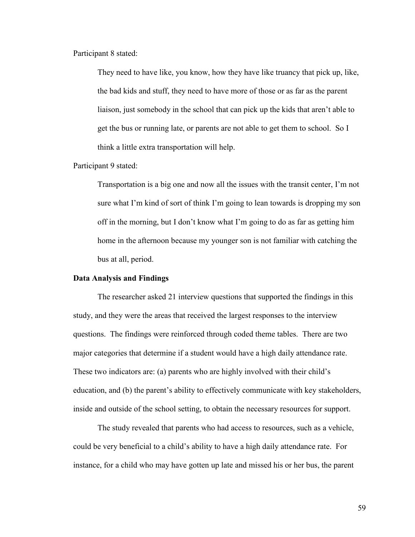Participant 8 stated:

They need to have like, you know, how they have like truancy that pick up, like, the bad kids and stuff, they need to have more of those or as far as the parent liaison, just somebody in the school that can pick up the kids that aren't able to get the bus or running late, or parents are not able to get them to school. So I think a little extra transportation will help.

Participant 9 stated:

Transportation is a big one and now all the issues with the transit center, I'm not sure what I'm kind of sort of think I'm going to lean towards is dropping my son off in the morning, but I don't know what I'm going to do as far as getting him home in the afternoon because my younger son is not familiar with catching the bus at all, period.

#### **Data Analysis and Findings**

The researcher asked 21 interview questions that supported the findings in this study, and they were the areas that received the largest responses to the interview questions. The findings were reinforced through coded theme tables. There are two major categories that determine if a student would have a high daily attendance rate. These two indicators are: (a) parents who are highly involved with their child's education, and (b) the parent's ability to effectively communicate with key stakeholders, inside and outside of the school setting, to obtain the necessary resources for support.

The study revealed that parents who had access to resources, such as a vehicle, could be very beneficial to a child's ability to have a high daily attendance rate. For instance, for a child who may have gotten up late and missed his or her bus, the parent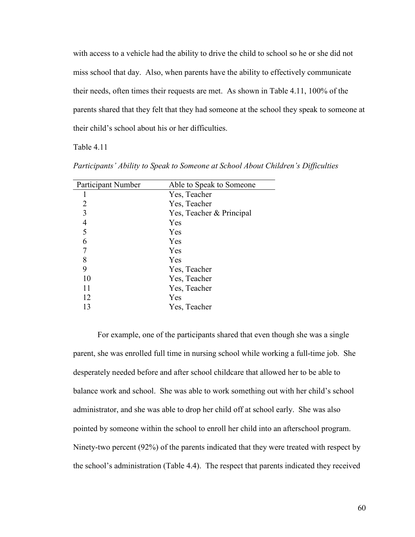with access to a vehicle had the ability to drive the child to school so he or she did not miss school that day. Also, when parents have the ability to effectively communicate their needs, often times their requests are met. As shown in Table 4.11, 100% of the parents shared that they felt that they had someone at the school they speak to someone at their child's school about his or her difficulties.

Table 4.11

| <b>Participant Number</b> | Able to Speak to Someone |  |
|---------------------------|--------------------------|--|
| ı                         | Yes, Teacher             |  |
| 2                         | Yes, Teacher             |  |
| 3                         | Yes, Teacher & Principal |  |
| $\overline{4}$            | Yes                      |  |
| 5                         | Yes                      |  |
| 6                         | Yes                      |  |
| 7                         | Yes                      |  |
| 8                         | Yes                      |  |
| 9                         | Yes, Teacher             |  |
| 10                        | Yes, Teacher             |  |
| 11                        | Yes, Teacher             |  |
| 12                        | Yes                      |  |
| 13                        | Yes, Teacher             |  |

*Participants' Ability to Speak to Someone at School About Children's Difficulties* 

For example, one of the participants shared that even though she was a single parent, she was enrolled full time in nursing school while working a full-time job. She desperately needed before and after school childcare that allowed her to be able to balance work and school. She was able to work something out with her child's school administrator, and she was able to drop her child off at school early. She was also pointed by someone within the school to enroll her child into an afterschool program. Ninety-two percent (92%) of the parents indicated that they were treated with respect by the school's administration (Table 4.4). The respect that parents indicated they received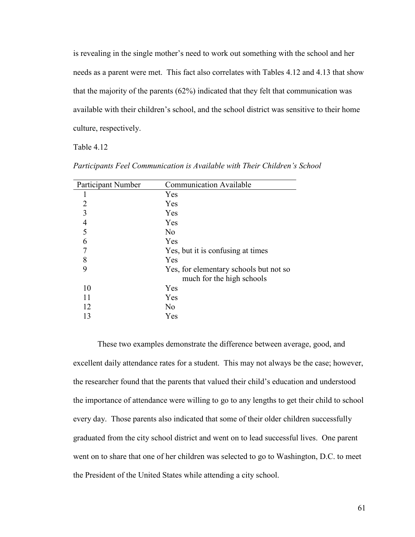is revealing in the single mother's need to work out something with the school and her needs as a parent were met. This fact also correlates with Tables 4.12 and 4.13 that show that the majority of the parents (62%) indicated that they felt that communication was available with their children's school, and the school district was sensitive to their home culture, respectively.

Table 4.12

| Participant Number | <b>Communication Available</b>         |
|--------------------|----------------------------------------|
|                    | Yes                                    |
| 2                  | Yes                                    |
| 3                  | Yes                                    |
| 4                  | Yes                                    |
| 5                  | No                                     |
| 6                  | Yes                                    |
|                    | Yes, but it is confusing at times      |
| 8                  | Yes                                    |
| 9                  | Yes, for elementary schools but not so |
|                    | much for the high schools              |
| 10                 | Yes                                    |
| 11                 | Yes                                    |
| 12                 | No.                                    |
| 13                 | Yes                                    |

*Participants Feel Communication is Available with Their Children's School*

These two examples demonstrate the difference between average, good, and excellent daily attendance rates for a student. This may not always be the case; however, the researcher found that the parents that valued their child's education and understood the importance of attendance were willing to go to any lengths to get their child to school every day. Those parents also indicated that some of their older children successfully graduated from the city school district and went on to lead successful lives. One parent went on to share that one of her children was selected to go to Washington, D.C. to meet the President of the United States while attending a city school.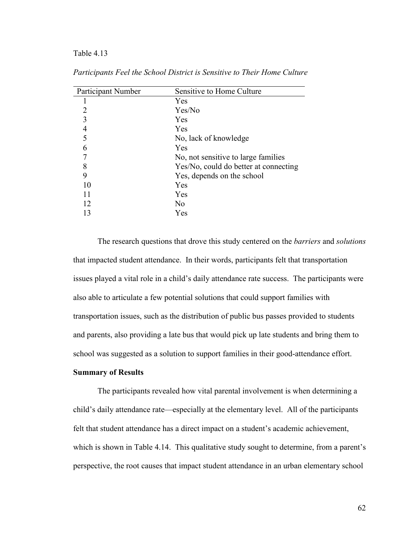#### Table 4.13

| Participant Number | Sensitive to Home Culture             |  |
|--------------------|---------------------------------------|--|
|                    | Yes                                   |  |
| 2                  | Yes/No                                |  |
|                    | Yes                                   |  |
|                    | Yes                                   |  |
| 5                  | No, lack of knowledge                 |  |
| 6                  | Yes                                   |  |
|                    | No, not sensitive to large families   |  |
| 8                  | Yes/No, could do better at connecting |  |
| 9                  | Yes, depends on the school            |  |
| 10                 | Yes                                   |  |
| 11                 | Yes                                   |  |
| 12                 | No                                    |  |
| 13                 | Yes                                   |  |

*Participants Feel the School District is Sensitive to Their Home Culture*

The research questions that drove this study centered on the *barriers* and *solutions* that impacted student attendance. In their words, participants felt that transportation issues played a vital role in a child's daily attendance rate success. The participants were also able to articulate a few potential solutions that could support families with transportation issues, such as the distribution of public bus passes provided to students and parents, also providing a late bus that would pick up late students and bring them to school was suggested as a solution to support families in their good-attendance effort.

#### **Summary of Results**

The participants revealed how vital parental involvement is when determining a child's daily attendance rate—especially at the elementary level. All of the participants felt that student attendance has a direct impact on a student's academic achievement, which is shown in Table 4.14. This qualitative study sought to determine, from a parent's perspective, the root causes that impact student attendance in an urban elementary school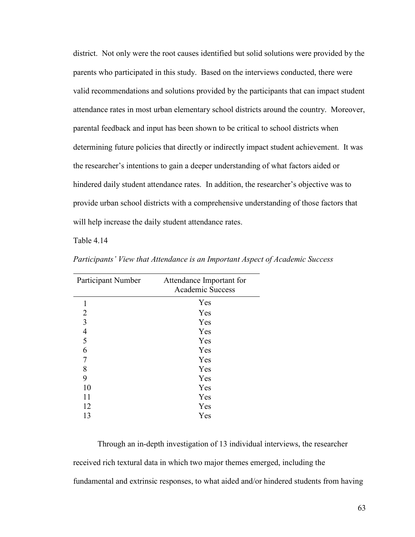district. Not only were the root causes identified but solid solutions were provided by the parents who participated in this study. Based on the interviews conducted, there were valid recommendations and solutions provided by the participants that can impact student attendance rates in most urban elementary school districts around the country. Moreover, parental feedback and input has been shown to be critical to school districts when determining future policies that directly or indirectly impact student achievement. It was the researcher's intentions to gain a deeper understanding of what factors aided or hindered daily student attendance rates. In addition, the researcher's objective was to provide urban school districts with a comprehensive understanding of those factors that will help increase the daily student attendance rates.

Table 4.14

| Participant Number       | Attendance Important for<br><b>Academic Success</b> |
|--------------------------|-----------------------------------------------------|
| 1                        | Yes                                                 |
| 2                        | Yes                                                 |
| 3                        | Yes                                                 |
| $\overline{\mathcal{L}}$ | Yes                                                 |
| 5                        | Yes                                                 |
| 6                        | Yes                                                 |
| 7                        | Yes                                                 |
| 8                        | Yes                                                 |
| 9                        | Yes                                                 |
| 10                       | Yes                                                 |
| 11                       | Yes                                                 |
| 12                       | Yes                                                 |
| 13                       | Yes                                                 |

*Participants' View that Attendance is an Important Aspect of Academic Success* 

Through an in-depth investigation of 13 individual interviews, the researcher received rich textural data in which two major themes emerged, including the fundamental and extrinsic responses, to what aided and/or hindered students from having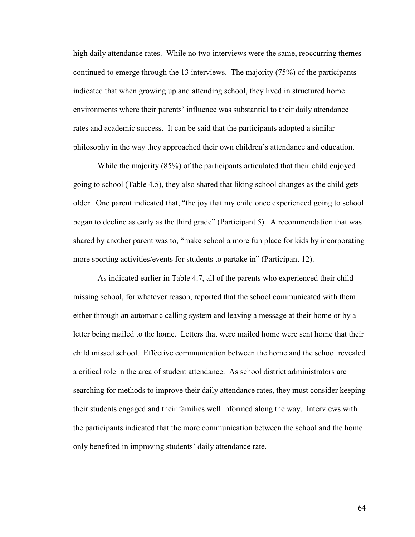high daily attendance rates. While no two interviews were the same, reoccurring themes continued to emerge through the 13 interviews. The majority (75%) of the participants indicated that when growing up and attending school, they lived in structured home environments where their parents' influence was substantial to their daily attendance rates and academic success. It can be said that the participants adopted a similar philosophy in the way they approached their own children's attendance and education.

While the majority (85%) of the participants articulated that their child enjoyed going to school (Table 4.5), they also shared that liking school changes as the child gets older. One parent indicated that, "the joy that my child once experienced going to school began to decline as early as the third grade" (Participant 5). A recommendation that was shared by another parent was to, "make school a more fun place for kids by incorporating more sporting activities/events for students to partake in" (Participant 12).

As indicated earlier in Table 4.7, all of the parents who experienced their child missing school, for whatever reason, reported that the school communicated with them either through an automatic calling system and leaving a message at their home or by a letter being mailed to the home. Letters that were mailed home were sent home that their child missed school. Effective communication between the home and the school revealed a critical role in the area of student attendance. As school district administrators are searching for methods to improve their daily attendance rates, they must consider keeping their students engaged and their families well informed along the way. Interviews with the participants indicated that the more communication between the school and the home only benefited in improving students' daily attendance rate.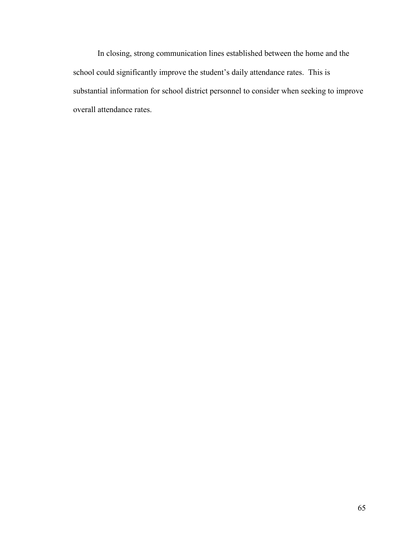In closing, strong communication lines established between the home and the school could significantly improve the student's daily attendance rates. This is substantial information for school district personnel to consider when seeking to improve overall attendance rates.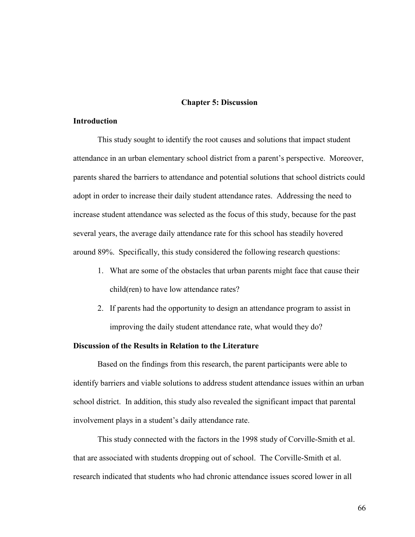#### **Chapter 5: Discussion**

# **Introduction**

This study sought to identify the root causes and solutions that impact student attendance in an urban elementary school district from a parent's perspective. Moreover, parents shared the barriers to attendance and potential solutions that school districts could adopt in order to increase their daily student attendance rates. Addressing the need to increase student attendance was selected as the focus of this study, because for the past several years, the average daily attendance rate for this school has steadily hovered around 89%. Specifically, this study considered the following research questions:

- 1. What are some of the obstacles that urban parents might face that cause their child(ren) to have low attendance rates?
- 2. If parents had the opportunity to design an attendance program to assist in improving the daily student attendance rate, what would they do?

#### **Discussion of the Results in Relation to the Literature**

Based on the findings from this research, the parent participants were able to identify barriers and viable solutions to address student attendance issues within an urban school district. In addition, this study also revealed the significant impact that parental involvement plays in a student's daily attendance rate.

This study connected with the factors in the 1998 study of Corville-Smith et al. that are associated with students dropping out of school. The Corville-Smith et al. research indicated that students who had chronic attendance issues scored lower in all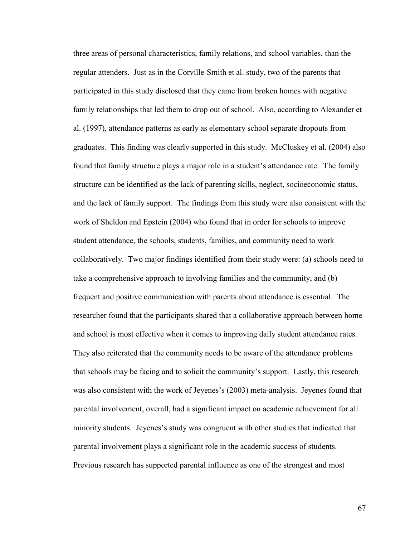three areas of personal characteristics, family relations, and school variables, than the regular attenders. Just as in the Corville-Smith et al. study, two of the parents that participated in this study disclosed that they came from broken homes with negative family relationships that led them to drop out of school. Also, according to Alexander et al. (1997), attendance patterns as early as elementary school separate dropouts from graduates. This finding was clearly supported in this study. McCluskey et al. (2004) also found that family structure plays a major role in a student's attendance rate. The family structure can be identified as the lack of parenting skills, neglect, socioeconomic status, and the lack of family support. The findings from this study were also consistent with the work of Sheldon and Epstein (2004) who found that in order for schools to improve student attendance, the schools, students, families, and community need to work collaboratively. Two major findings identified from their study were: (a) schools need to take a comprehensive approach to involving families and the community, and (b) frequent and positive communication with parents about attendance is essential. The researcher found that the participants shared that a collaborative approach between home and school is most effective when it comes to improving daily student attendance rates. They also reiterated that the community needs to be aware of the attendance problems that schools may be facing and to solicit the community's support. Lastly, this research was also consistent with the work of Jeyenes's (2003) meta-analysis. Jeyenes found that parental involvement, overall, had a significant impact on academic achievement for all minority students. Jeyenes's study was congruent with other studies that indicated that parental involvement plays a significant role in the academic success of students. Previous research has supported parental influence as one of the strongest and most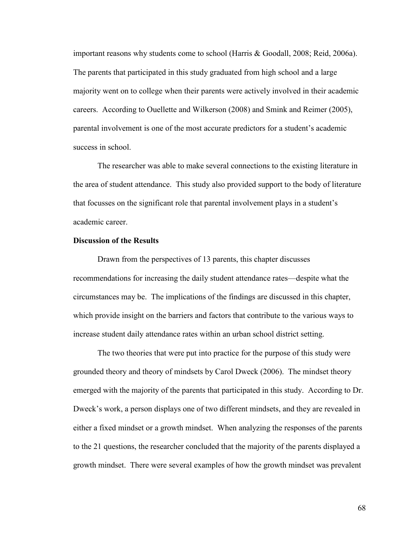important reasons why students come to school (Harris & Goodall, 2008; Reid, 2006a). The parents that participated in this study graduated from high school and a large majority went on to college when their parents were actively involved in their academic careers. According to Ouellette and Wilkerson (2008) and Smink and Reimer (2005), parental involvement is one of the most accurate predictors for a student's academic success in school.

The researcher was able to make several connections to the existing literature in the area of student attendance. This study also provided support to the body of literature that focusses on the significant role that parental involvement plays in a student's academic career.

#### **Discussion of the Results**

Drawn from the perspectives of 13 parents, this chapter discusses recommendations for increasing the daily student attendance rates—despite what the circumstances may be. The implications of the findings are discussed in this chapter, which provide insight on the barriers and factors that contribute to the various ways to increase student daily attendance rates within an urban school district setting.

The two theories that were put into practice for the purpose of this study were grounded theory and theory of mindsets by Carol Dweck (2006). The mindset theory emerged with the majority of the parents that participated in this study. According to Dr. Dweck's work, a person displays one of two different mindsets, and they are revealed in either a fixed mindset or a growth mindset. When analyzing the responses of the parents to the 21 questions, the researcher concluded that the majority of the parents displayed a growth mindset. There were several examples of how the growth mindset was prevalent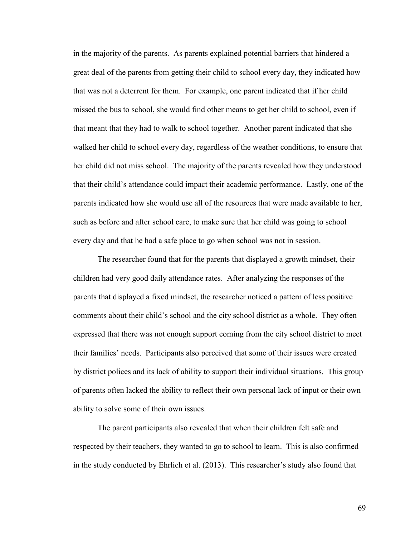in the majority of the parents. As parents explained potential barriers that hindered a great deal of the parents from getting their child to school every day, they indicated how that was not a deterrent for them. For example, one parent indicated that if her child missed the bus to school, she would find other means to get her child to school, even if that meant that they had to walk to school together. Another parent indicated that she walked her child to school every day, regardless of the weather conditions, to ensure that her child did not miss school. The majority of the parents revealed how they understood that their child's attendance could impact their academic performance. Lastly, one of the parents indicated how she would use all of the resources that were made available to her, such as before and after school care, to make sure that her child was going to school every day and that he had a safe place to go when school was not in session.

The researcher found that for the parents that displayed a growth mindset, their children had very good daily attendance rates. After analyzing the responses of the parents that displayed a fixed mindset, the researcher noticed a pattern of less positive comments about their child's school and the city school district as a whole. They often expressed that there was not enough support coming from the city school district to meet their families' needs. Participants also perceived that some of their issues were created by district polices and its lack of ability to support their individual situations. This group of parents often lacked the ability to reflect their own personal lack of input or their own ability to solve some of their own issues.

The parent participants also revealed that when their children felt safe and respected by their teachers, they wanted to go to school to learn. This is also confirmed in the study conducted by Ehrlich et al. (2013). This researcher's study also found that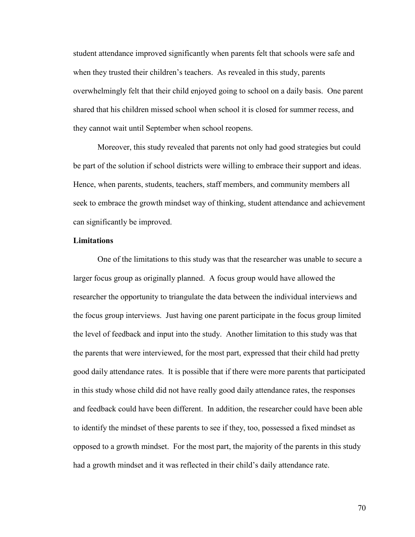student attendance improved significantly when parents felt that schools were safe and when they trusted their children's teachers. As revealed in this study, parents overwhelmingly felt that their child enjoyed going to school on a daily basis. One parent shared that his children missed school when school it is closed for summer recess, and they cannot wait until September when school reopens.

Moreover, this study revealed that parents not only had good strategies but could be part of the solution if school districts were willing to embrace their support and ideas. Hence, when parents, students, teachers, staff members, and community members all seek to embrace the growth mindset way of thinking, student attendance and achievement can significantly be improved.

#### **Limitations**

One of the limitations to this study was that the researcher was unable to secure a larger focus group as originally planned. A focus group would have allowed the researcher the opportunity to triangulate the data between the individual interviews and the focus group interviews. Just having one parent participate in the focus group limited the level of feedback and input into the study. Another limitation to this study was that the parents that were interviewed, for the most part, expressed that their child had pretty good daily attendance rates. It is possible that if there were more parents that participated in this study whose child did not have really good daily attendance rates, the responses and feedback could have been different. In addition, the researcher could have been able to identify the mindset of these parents to see if they, too, possessed a fixed mindset as opposed to a growth mindset. For the most part, the majority of the parents in this study had a growth mindset and it was reflected in their child's daily attendance rate.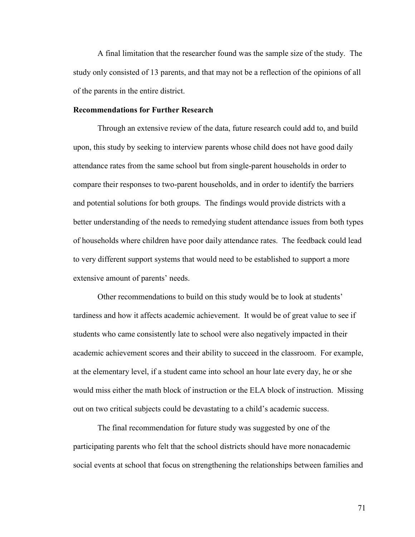A final limitation that the researcher found was the sample size of the study. The study only consisted of 13 parents, and that may not be a reflection of the opinions of all of the parents in the entire district.

#### **Recommendations for Further Research**

Through an extensive review of the data, future research could add to, and build upon, this study by seeking to interview parents whose child does not have good daily attendance rates from the same school but from single-parent households in order to compare their responses to two-parent households, and in order to identify the barriers and potential solutions for both groups. The findings would provide districts with a better understanding of the needs to remedying student attendance issues from both types of households where children have poor daily attendance rates. The feedback could lead to very different support systems that would need to be established to support a more extensive amount of parents' needs.

Other recommendations to build on this study would be to look at students' tardiness and how it affects academic achievement. It would be of great value to see if students who came consistently late to school were also negatively impacted in their academic achievement scores and their ability to succeed in the classroom. For example, at the elementary level, if a student came into school an hour late every day, he or she would miss either the math block of instruction or the ELA block of instruction. Missing out on two critical subjects could be devastating to a child's academic success.

The final recommendation for future study was suggested by one of the participating parents who felt that the school districts should have more nonacademic social events at school that focus on strengthening the relationships between families and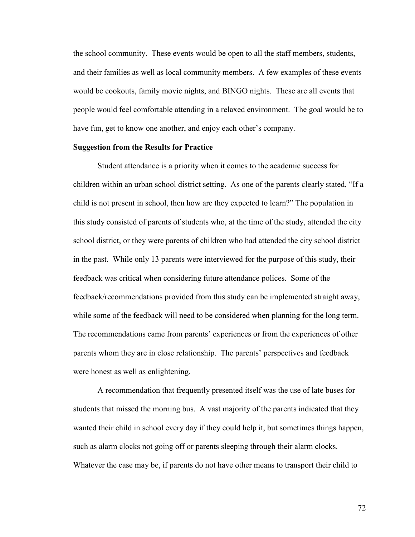the school community. These events would be open to all the staff members, students, and their families as well as local community members. A few examples of these events would be cookouts, family movie nights, and BINGO nights. These are all events that people would feel comfortable attending in a relaxed environment. The goal would be to have fun, get to know one another, and enjoy each other's company.

#### **Suggestion from the Results for Practice**

Student attendance is a priority when it comes to the academic success for children within an urban school district setting. As one of the parents clearly stated, "If a child is not present in school, then how are they expected to learn?" The population in this study consisted of parents of students who, at the time of the study, attended the city school district, or they were parents of children who had attended the city school district in the past. While only 13 parents were interviewed for the purpose of this study, their feedback was critical when considering future attendance polices. Some of the feedback/recommendations provided from this study can be implemented straight away, while some of the feedback will need to be considered when planning for the long term. The recommendations came from parents' experiences or from the experiences of other parents whom they are in close relationship. The parents' perspectives and feedback were honest as well as enlightening.

A recommendation that frequently presented itself was the use of late buses for students that missed the morning bus. A vast majority of the parents indicated that they wanted their child in school every day if they could help it, but sometimes things happen, such as alarm clocks not going off or parents sleeping through their alarm clocks. Whatever the case may be, if parents do not have other means to transport their child to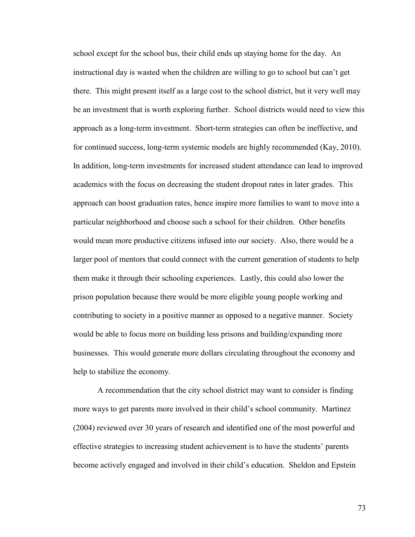school except for the school bus, their child ends up staying home for the day. An instructional day is wasted when the children are willing to go to school but can't get there. This might present itself as a large cost to the school district, but it very well may be an investment that is worth exploring further. School districts would need to view this approach as a long-term investment. Short-term strategies can often be ineffective, and for continued success, long-term systemic models are highly recommended (Kay, 2010). In addition, long-term investments for increased student attendance can lead to improved academics with the focus on decreasing the student dropout rates in later grades. This approach can boost graduation rates, hence inspire more families to want to move into a particular neighborhood and choose such a school for their children. Other benefits would mean more productive citizens infused into our society. Also, there would be a larger pool of mentors that could connect with the current generation of students to help them make it through their schooling experiences. Lastly, this could also lower the prison population because there would be more eligible young people working and contributing to society in a positive manner as opposed to a negative manner. Society would be able to focus more on building less prisons and building/expanding more businesses. This would generate more dollars circulating throughout the economy and help to stabilize the economy.

A recommendation that the city school district may want to consider is finding more ways to get parents more involved in their child's school community. Martinez (2004) reviewed over 30 years of research and identified one of the most powerful and effective strategies to increasing student achievement is to have the students' parents become actively engaged and involved in their child's education. Sheldon and Epstein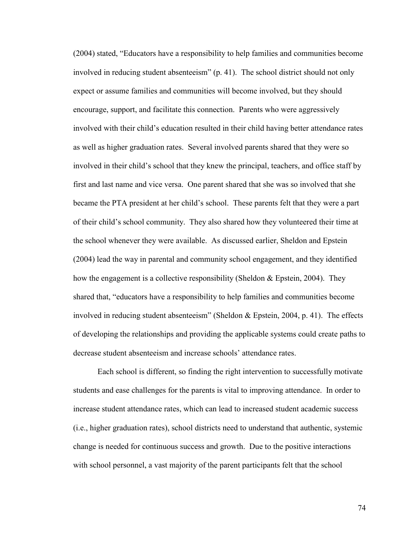(2004) stated, "Educators have a responsibility to help families and communities become involved in reducing student absenteeism" (p. 41). The school district should not only expect or assume families and communities will become involved, but they should encourage, support, and facilitate this connection. Parents who were aggressively involved with their child's education resulted in their child having better attendance rates as well as higher graduation rates. Several involved parents shared that they were so involved in their child's school that they knew the principal, teachers, and office staff by first and last name and vice versa. One parent shared that she was so involved that she became the PTA president at her child's school. These parents felt that they were a part of their child's school community. They also shared how they volunteered their time at the school whenever they were available. As discussed earlier, Sheldon and Epstein (2004) lead the way in parental and community school engagement, and they identified how the engagement is a collective responsibility (Sheldon & Epstein, 2004). They shared that, "educators have a responsibility to help families and communities become involved in reducing student absenteeism" (Sheldon & Epstein, 2004, p. 41). The effects of developing the relationships and providing the applicable systems could create paths to decrease student absenteeism and increase schools' attendance rates.

Each school is different, so finding the right intervention to successfully motivate students and ease challenges for the parents is vital to improving attendance. In order to increase student attendance rates, which can lead to increased student academic success (i.e., higher graduation rates), school districts need to understand that authentic, systemic change is needed for continuous success and growth. Due to the positive interactions with school personnel, a vast majority of the parent participants felt that the school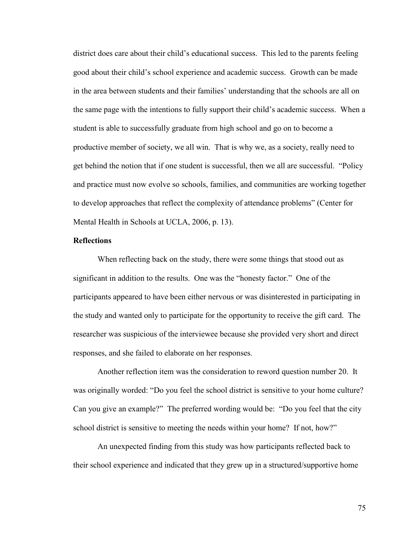district does care about their child's educational success. This led to the parents feeling good about their child's school experience and academic success. Growth can be made in the area between students and their families' understanding that the schools are all on the same page with the intentions to fully support their child's academic success. When a student is able to successfully graduate from high school and go on to become a productive member of society, we all win. That is why we, as a society, really need to get behind the notion that if one student is successful, then we all are successful. "Policy and practice must now evolve so schools, families, and communities are working together to develop approaches that reflect the complexity of attendance problems" (Center for Mental Health in Schools at UCLA, 2006, p. 13).

#### **Reflections**

When reflecting back on the study, there were some things that stood out as significant in addition to the results. One was the "honesty factor." One of the participants appeared to have been either nervous or was disinterested in participating in the study and wanted only to participate for the opportunity to receive the gift card. The researcher was suspicious of the interviewee because she provided very short and direct responses, and she failed to elaborate on her responses.

Another reflection item was the consideration to reword question number 20. It was originally worded: "Do you feel the school district is sensitive to your home culture? Can you give an example?" The preferred wording would be: "Do you feel that the city school district is sensitive to meeting the needs within your home? If not, how?"

An unexpected finding from this study was how participants reflected back to their school experience and indicated that they grew up in a structured/supportive home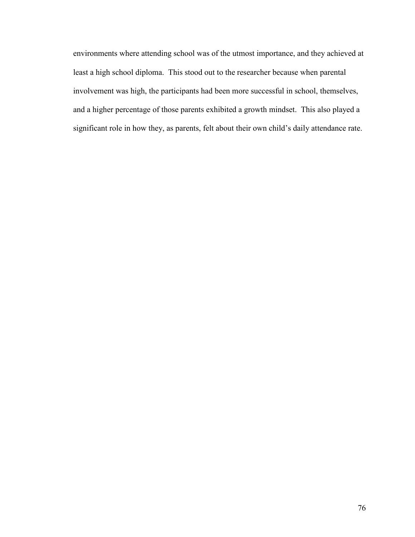environments where attending school was of the utmost importance, and they achieved at least a high school diploma. This stood out to the researcher because when parental involvement was high, the participants had been more successful in school, themselves, and a higher percentage of those parents exhibited a growth mindset. This also played a significant role in how they, as parents, felt about their own child's daily attendance rate.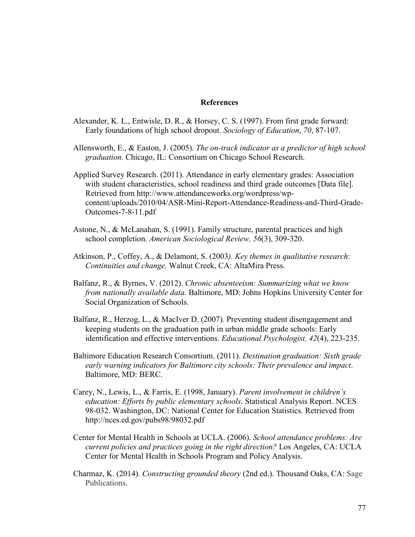#### **References**

- Alexander, K. L., Entwisle, D. R., & Horsey, C. S. (1997). From first grade forward: Early foundations of high school dropout. *Sociology of Education*, *70*, 87-107.
- Allensworth, E., & Easton, J. (2005). *The on-track indicator as a predictor of high school graduation.* Chicago, IL: Consortium on Chicago School Research.
- Applied Survey Research. (2011). Attendance in early elementary grades: Association with student characteristics, school readiness and third grade outcomes [Data file]. Retrieved from [http://www.attendanceworks.org/wordpress/wp](http://www.attendanceworks.org/wordpress/wp-content/uploads/2010/04/ASR-Mini-Report-Attendance-Readiness-and-Third-Grade-Outcomes-7-8-11.pdf)[content/uploads/2010/04/ASR-Mini-Report-Attendance-Readiness-and-Third-Grade-](http://www.attendanceworks.org/wordpress/wp-content/uploads/2010/04/ASR-Mini-Report-Attendance-Readiness-and-Third-Grade-Outcomes-7-8-11.pdf)[Outcomes-7-8-11.pdf](http://www.attendanceworks.org/wordpress/wp-content/uploads/2010/04/ASR-Mini-Report-Attendance-Readiness-and-Third-Grade-Outcomes-7-8-11.pdf)
- Astone, N., & McLanahan, S. (1991). Family structure, parental practices and high school completion. *American Sociological Review, 56*(3), 309-320.
- Atkinson, P., Coffey, A., & Delamont, S. (2003*). Key themes in qualitative research*: *Continuities and change.* Walnut Creek, CA: AltaMira Press.
- Balfanz, R., & Byrnes, V. (2012). *Chronic absenteeism: Summarizing what we know from nationally available data.* Baltimore, MD: Johns Hopkins University Center for Social Organization of Schools.
- Balfanz, R., Herzog, L., & MacIver D. (2007). Preventing student disengagement and keeping students on the graduation path in urban middle grade schools: Early identification and effective interventions. *Educational Psychologist, 42*(4), 223-235.
- Baltimore Education Research Consortium. (2011). *Destination graduation: Sixth grade early warning indicators for Baltimore city schools: Their prevalence and impact*. Baltimore, MD: BERC.
- Carey, N., Lewis, L., & Farris, E. (1998, January). *Parent involvement in children's education: Efforts by public elementary schools*. Statistical Analysis Report. NCES 98-032. Washington, DC: National Center for Education Statistics. Retrieved from http://nces.ed.gov/pubs98/98032.pdf
- Center for Mental Health in Schools at UCLA. (2006). *School attendance problems: Are current policies and practices going in the right direction?* Los Angeles, CA: UCLA Center for Mental Health in Schools Program and Policy Analysis.
- Charmaz, K. (2014). *Constructing grounded theory* (2nd ed.). Thousand Oaks, CA: Sage Publications.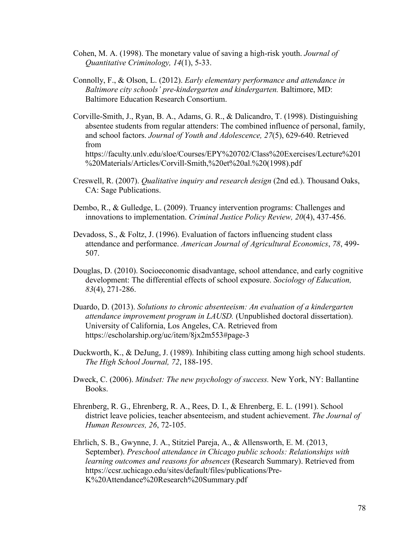- Cohen, M. A. (1998). The monetary value of saving a high-risk youth. *Journal of Quantitative Criminology, 14*(1), 5-33.
- Connolly, F., & Olson, L. (2012). *Early elementary performance and attendance in Baltimore city schools' pre-kindergarten and kindergarten.* Baltimore, MD: Baltimore Education Research Consortium.
- Corville-Smith, J., Ryan, B. A., Adams, G. R., & Dalicandro, T. (1998). Distinguishing absentee students from regular attenders: The combined influence of personal, family, and school factors. *Journal of Youth and Adolescence, 27*(5), 629-640. Retrieved from [https://faculty.unlv.edu/sloe/Courses/EPY%20702/Class%20Exercises/Lecture%201](https://faculty.unlv.edu/sloe/Courses/EPY%20702/Class%20Exercises/Lecture%201%20Materials/Articles/Corvill-Smith,%20et%20al.%20(1998).pdf) [%20Materials/Articles/Corvill-Smith,%20et%20al.%20\(1998\).pdf](https://faculty.unlv.edu/sloe/Courses/EPY%20702/Class%20Exercises/Lecture%201%20Materials/Articles/Corvill-Smith,%20et%20al.%20(1998).pdf)
- Creswell, R. (2007). *Qualitative inquiry and research design* (2nd ed.). Thousand Oaks, CA: Sage Publications.
- Dembo, R., & Gulledge, L. (2009). Truancy intervention programs: Challenges and innovations to implementation. *Criminal Justice Policy Review, 20*(4), 437-456.
- Devadoss, S., & Foltz, J. (1996). Evaluation of factors influencing student class attendance and performance. *American Journal of Agricultural Economics*, *78*, 499- 507.
- Douglas, D. (2010). Socioeconomic disadvantage, school attendance, and early cognitive development: The differential effects of school exposure. *Sociology of Education, 83*(4), 271-286.
- Duardo, D. (2013). *Solutions to chronic absenteeism: An evaluation of a kindergarten attendance improvement program in LAUSD.* (Unpublished doctoral dissertation). University of California, Los Angeles, CA. Retrieved from <https://escholarship.org/uc/item/8jx2m553#page-3>
- Duckworth, K., & DeJung, J. (1989). Inhibiting class cutting among high school students. *The High School Journal, 72*, 188-195.
- Dweck, C. (2006). *Mindset: The new psychology of success.* New York, NY: Ballantine Books.
- Ehrenberg, R. G., Ehrenberg, R. A., Rees, D. I., & Ehrenberg, E. L. (1991). School district leave policies, teacher absenteeism, and student achievement. *The Journal of Human Resources, 26*, 72-105.
- Ehrlich, S. B., Gwynne, J. A., Stitziel Pareja, A., & Allensworth, E. M. (2013, September). *Preschool attendance in Chicago public schools: Relationships with learning outcomes and reasons for absences* (Research Summary). Retrieved from [https://ccsr.uchicago.edu/sites/default/files/publications/Pre-](https://ccsr.uchicago.edu/sites/default/files/publications/Pre-K%20Attendance%20Research%20Summary.pdf)[K%20Attendance%20Research%20Summary.pdf](https://ccsr.uchicago.edu/sites/default/files/publications/Pre-K%20Attendance%20Research%20Summary.pdf)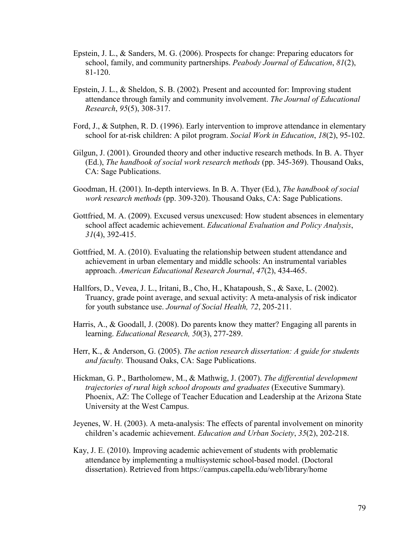- Epstein, J. L., & Sanders, M. G. (2006). Prospects for change: Preparing educators for school, family, and community partnerships. *Peabody Journal of Education*, *81*(2), 81-120.
- Epstein, J. L., & Sheldon, S. B. (2002). Present and accounted for: Improving student attendance through family and community involvement. *The Journal of Educational Research*, *95*(5), 308-317.
- Ford, J., & Sutphen, R. D. (1996). Early intervention to improve attendance in elementary school for at-risk children: A pilot program. *Social Work in Education*, *18*(2), 95-102.
- Gilgun, J. (2001). Grounded theory and other inductive research methods. In B. A. Thyer (Ed.), *The handbook of social work research methods* (pp. 345-369). Thousand Oaks, CA: Sage Publications.
- Goodman, H. (2001). In-depth interviews. In B. A. Thyer (Ed.), *The handbook of social work research methods* (pp. 309-320). Thousand Oaks, CA: Sage Publications.
- Gottfried, M. A. (2009). Excused versus unexcused: How student absences in elementary school affect academic achievement. *Educational Evaluation and Policy Analysis*, *31*(4), 392-415.
- Gottfried, M. A. (2010). Evaluating the relationship between student attendance and achievement in urban elementary and middle schools: An instrumental variables approach. *American Educational Research Journal*, *47*(2), 434-465.
- Hallfors, D., Vevea, J. L., Iritani, B., Cho, H., Khatapoush, S., & Saxe, L. (2002). Truancy, grade point average, and sexual activity: A meta-analysis of risk indicator for youth substance use. *Journal of Social Health, 72*, 205-211.
- Harris, A., & Goodall, J. (2008). Do parents know they matter? Engaging all parents in learning. *Educational Research, 50*(3), 277-289.
- Herr, K., & Anderson, G. (2005). *The action research dissertation: A guide for students and faculty.* Thousand Oaks, CA: Sage Publications.
- Hickman, G. P., Bartholomew, M., & Mathwig, J. (2007). *The differential development trajectories of rural high school dropouts and graduates* (Executive Summary). Phoenix, AZ: The College of Teacher Education and Leadership at the Arizona State University at the West Campus.
- Jeyenes, W. H. (2003). A meta-analysis: The effects of parental involvement on minority children's academic achievement. *Education and Urban Society*, *35*(2), 202-218.
- Kay, J. E. (2010). Improving academic achievement of students with problematic attendance by implementing a multisystemic school-based model. (Doctoral dissertation). Retrieved from https://campus.capella.edu/web/library/home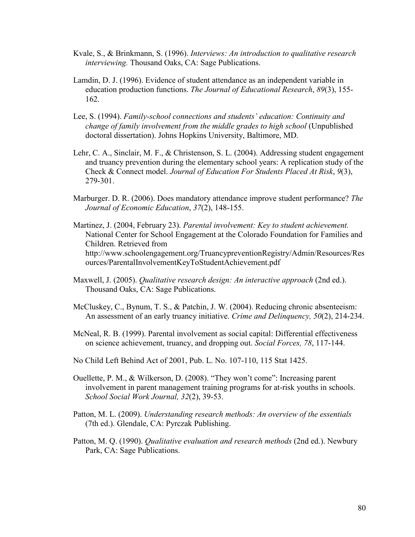- Kvale, S., & Brinkmann, S. (1996). *Interviews: An introduction to qualitative research interviewing.* Thousand Oaks, CA: Sage Publications.
- Lamdin, D. J. (1996). Evidence of student attendance as an independent variable in education production functions. *The Journal of Educational Research*, *89*(3), 155- 162.
- Lee, S. (1994). *Family-school connections and students' education: Continuity and change of family involvement from the middle grades to high school* (Unpublished doctoral dissertation). Johns Hopkins University, Baltimore, MD.
- Lehr, C. A., Sinclair, M. F., & Christenson, S. L. (2004). Addressing student engagement and truancy prevention during the elementary school years: A replication study of the Check & Connect model. *Journal of Education For Students Placed At Risk*, *9*(3), 279-301.
- Marburger. D. R. (2006). Does mandatory attendance improve student performance? *The Journal of Economic Education*, *37*(2), 148-155.
- Martinez, J. (2004, February 23). *Parental involvement: Key to student achievement.* National Center for School Engagement at the Colorado Foundation for Families and Children. Retrieved from [http://www.schoolengagement.org/TruancypreventionRegistry/Admin/Resources/R](http://www.schoolengagement.org/TruancypreventionRegistry/Admin/Resources/)es ources/ParentalInvolvementKeyToStudentAchievement.pdf
- Maxwell, J. (2005). *Qualitative research design: An interactive approach* (2nd ed.). Thousand Oaks, CA: Sage Publications.
- McCluskey, C., Bynum, T. S., & Patchin, J. W. (2004). Reducing chronic absenteeism: An assessment of an early truancy initiative. *Crime and Delinquency, 50*(2), 214-234.
- McNeal, R. B. (1999). Parental involvement as social capital: Differential effectiveness on science achievement, truancy, and dropping out. *Social Forces, 78*, 117-144.
- No Child Left Behind Act of 2001, Pub. L. No. 107-110, 115 Stat 1425.
- Ouellette, P. M., & Wilkerson, D. (2008). "They won't come": Increasing parent involvement in parent management training programs for at-risk youths in schools. *School Social Work Journal, 32*(2), 39-53.
- Patton, M. L. (2009). *Understanding research methods: An overview of the essentials*  (7th ed.). Glendale, CA: Pyrczak Publishing.
- Patton, M. Q. (1990). *Qualitative evaluation and research methods* (2nd ed.). Newbury Park, CA: Sage Publications.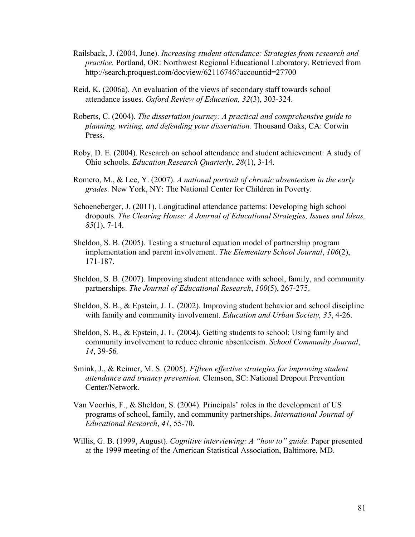- Railsback, J. (2004, June). *Increasing student attendance: Strategies from research and practice.* Portland, OR: Northwest Regional Educational Laboratory. Retrieved from http://search.proquest.com/docview/62116746?accountid=27700
- Reid, K. (2006a). An evaluation of the views of secondary staff towards school attendance issues. *Oxford Review of Education, 32*(3), 303-324.
- Roberts, C. (2004). *The dissertation journey: A practical and comprehensive guide to planning, writing, and defending your dissertation.* Thousand Oaks, CA: Corwin Press.
- Roby, D. E. (2004). Research on school attendance and student achievement: A study of Ohio schools. *Education Research Quarterly*, *28*(1), 3-14.
- Romero, M., & Lee, Y. (2007). *A national portrait of chronic absenteeism in the early grades.* New York, NY: The National Center for Children in Poverty.
- Schoeneberger, J. (2011). Longitudinal attendance patterns: Developing high school dropouts. *The Clearing House: A Journal of Educational Strategies, Issues and Ideas, 85*(1), 7-14.
- Sheldon, S. B. (2005). Testing a structural equation model of partnership program implementation and parent involvement. *The Elementary School Journal*, *106*(2), 171-187.
- Sheldon, S. B. (2007). Improving student attendance with school, family, and community partnerships. *The Journal of Educational Research*, *100*(5), 267-275.
- Sheldon, S. B., & Epstein, J. L. (2002). Improving student behavior and school discipline with family and community involvement. *Education and Urban Society, 35*, 4-26.
- Sheldon, S. B., & Epstein, J. L. (2004). Getting students to school: Using family and community involvement to reduce chronic absenteeism. *School Community Journal*, *14*, 39-56*.*
- Smink, J., & Reimer, M. S. (2005). *Fifteen effective strategies for improving student attendance and truancy prevention.* Clemson, SC: National Dropout Prevention Center/Network.
- Van Voorhis, F., & Sheldon, S. (2004). Principals' roles in the development of US programs of school, family, and community partnerships. *International Journal of Educational Research*, *41*, 55-70.
- Willis, G. B. (1999, August). *Cognitive interviewing: A "how to" guide*. Paper presented at the 1999 meeting of the American Statistical Association, Baltimore, MD.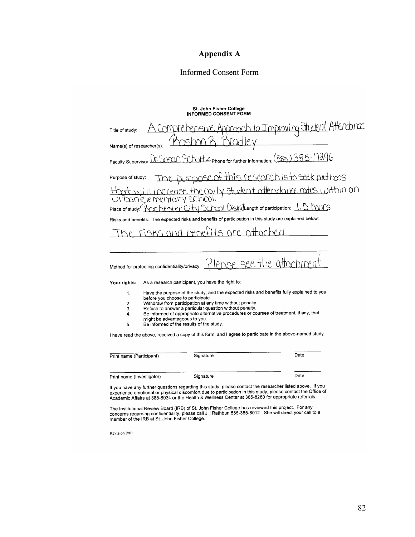# **Appendix A**

# Informed Consent Form

# St. John Fisher College<br>INFORMED CONSENT FORM

| Title of study:                                                                                                                      |                                          | <u>omprehensive Approach to Improving Stutent Attendonce</u>       |  |  |
|--------------------------------------------------------------------------------------------------------------------------------------|------------------------------------------|--------------------------------------------------------------------|--|--|
| Name(s) of researcher(s):                                                                                                            |                                          |                                                                    |  |  |
| Faculty Supervisor:                                                                                                                  |                                          | Dr. SUSQN SchriftZ phone for further information: (585) 385 - 7296 |  |  |
| Purpose of study:                                                                                                                    |                                          | Le purpose of this research is to seek methods                     |  |  |
| sanjelementary school.                                                                                                               |                                          | increase the daily student attendance rates within on              |  |  |
| Place of study: Place                                                                                                                |                                          | ochester City School Districtength of participation: 1.5 hours     |  |  |
| Risks and benefits: The expected risks and benefits of participation in this study are explained below:                              |                                          |                                                                    |  |  |
| risks and tenefits are attached                                                                                                      |                                          |                                                                    |  |  |
|                                                                                                                                      |                                          |                                                                    |  |  |
| Method for protecting confidentiality/privacy: TIPOSE SEE the attachment                                                             |                                          |                                                                    |  |  |
| As a research participant, you have the right to:<br>Your rights:                                                                    |                                          |                                                                    |  |  |
| Have the purpose of the study, and the expected risks and benefits fully explained to you<br>1.<br>before you choose to participate. |                                          |                                                                    |  |  |
| Withdraw from participation at any time without penalty.<br>2.                                                                       |                                          |                                                                    |  |  |
| Refuse to answer a particular question without penalty.<br>3.                                                                        |                                          |                                                                    |  |  |
| Be informed of appropriate alternative procedures or courses of treatment, if any, that<br>4.<br>might be advantageous to you.       |                                          |                                                                    |  |  |
| 5.                                                                                                                                   | Be informed of the results of the study. |                                                                    |  |  |
| I have read the above, received a copy of this form, and I agree to participate in the above-named study.                            |                                          |                                                                    |  |  |
| Print name (Participant)                                                                                                             | Signature                                | Date                                                               |  |  |

Print name (Investigator) Signature Date

If you have any further questions regarding this study, please contact the researcher listed above. If you<br>experience emotional or physical discomfort due to participation in this study, please contact the Office of<br>Academ

The Institutional Review Board (IRB) of St. John Fisher College has reviewed this project. For any concerns regarding confidentiality, please call Jill Rathbun 585-385-8012. She will direct your call to a member of the IRB

Revision 9/01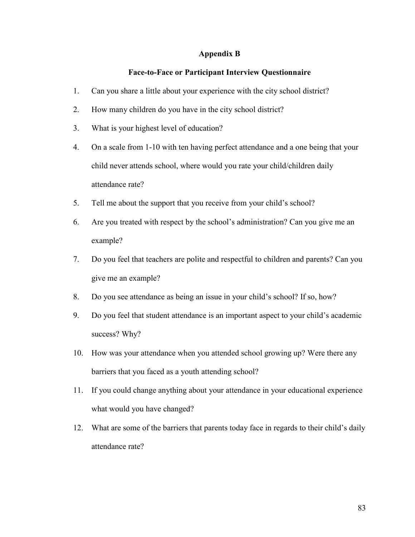## **Appendix B**

# **Face-to-Face or Participant Interview Questionnaire**

- 1. Can you share a little about your experience with the city school district?
- 2. How many children do you have in the city school district?
- 3. What is your highest level of education?
- 4. On a scale from 1-10 with ten having perfect attendance and a one being that your child never attends school, where would you rate your child/children daily attendance rate?
- 5. Tell me about the support that you receive from your child's school?
- 6. Are you treated with respect by the school's administration? Can you give me an example?
- 7. Do you feel that teachers are polite and respectful to children and parents? Can you give me an example?
- 8. Do you see attendance as being an issue in your child's school? If so, how?
- 9. Do you feel that student attendance is an important aspect to your child's academic success? Why?
- 10. How was your attendance when you attended school growing up? Were there any barriers that you faced as a youth attending school?
- 11. If you could change anything about your attendance in your educational experience what would you have changed?
- 12. What are some of the barriers that parents today face in regards to their child's daily attendance rate?